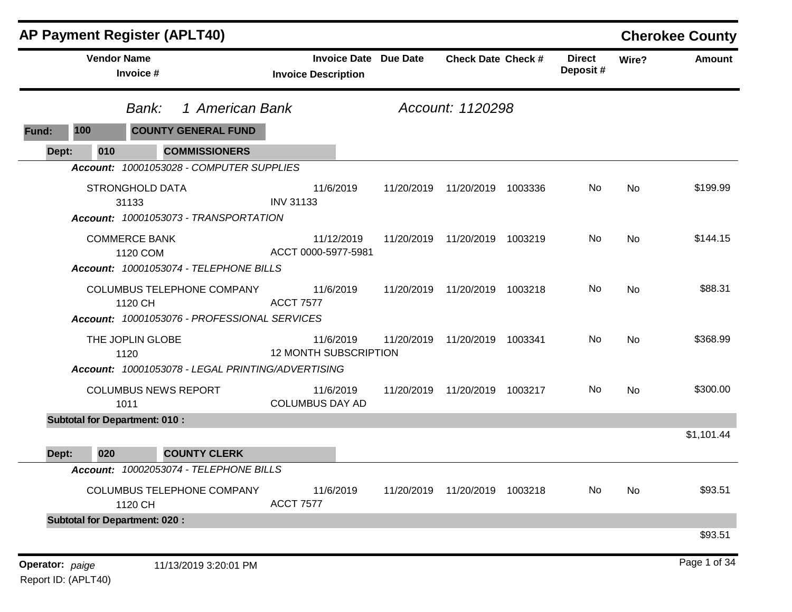|       |                                      | <b>AP Payment Register (APLT40)</b>                           |                                                            |            |                                 |         |                           |       | <b>Cherokee County</b> |
|-------|--------------------------------------|---------------------------------------------------------------|------------------------------------------------------------|------------|---------------------------------|---------|---------------------------|-------|------------------------|
|       | <b>Vendor Name</b><br>Invoice #      |                                                               | <b>Invoice Date Due Date</b><br><b>Invoice Description</b> |            | <b>Check Date Check #</b>       |         | <b>Direct</b><br>Deposit# | Wire? | <b>Amount</b>          |
|       | Bank:                                | 1 American Bank                                               |                                                            |            | Account: 1120298                |         |                           |       |                        |
| Fund: | 100                                  | <b>COUNTY GENERAL FUND</b>                                    |                                                            |            |                                 |         |                           |       |                        |
| Dept: | 010                                  | <b>COMMISSIONERS</b>                                          |                                                            |            |                                 |         |                           |       |                        |
|       |                                      | Account: 10001053028 - COMPUTER SUPPLIES                      |                                                            |            |                                 |         |                           |       |                        |
|       | <b>STRONGHOLD DATA</b><br>31133      |                                                               | 11/6/2019<br><b>INV 31133</b>                              | 11/20/2019 | 11/20/2019 1003336              |         | No                        | No    | \$199.99               |
|       |                                      | Account: 10001053073 - TRANSPORTATION                         |                                                            |            |                                 |         |                           |       |                        |
|       | <b>COMMERCE BANK</b><br>1120 COM     |                                                               | 11/12/2019<br>ACCT 0000-5977-5981                          | 11/20/2019 | 11/20/2019                      | 1003219 | No                        | No    | \$144.15               |
|       |                                      | Account: 10001053074 - TELEPHONE BILLS                        |                                                            |            |                                 |         |                           |       |                        |
|       | 1120 CH                              | <b>COLUMBUS TELEPHONE COMPANY</b>                             | 11/6/2019<br><b>ACCT 7577</b>                              |            | 11/20/2019  11/20/2019  1003218 |         | <b>No</b>                 | No    | \$88.31                |
|       |                                      | Account: 10001053076 - PROFESSIONAL SERVICES                  |                                                            |            |                                 |         |                           |       |                        |
|       | THE JOPLIN GLOBE<br>1120             |                                                               | 11/6/2019<br><b>12 MONTH SUBSCRIPTION</b>                  | 11/20/2019 | 11/20/2019 1003341              |         | No                        | No    | \$368.99               |
|       |                                      | Account: 10001053078 - LEGAL PRINTING/ADVERTISING             |                                                            |            |                                 |         |                           |       |                        |
|       | 1011                                 | <b>COLUMBUS NEWS REPORT</b>                                   | 11/6/2019<br><b>COLUMBUS DAY AD</b>                        | 11/20/2019 | 11/20/2019 1003217              |         | No                        | No    | \$300.00               |
|       | <b>Subtotal for Department: 010:</b> |                                                               |                                                            |            |                                 |         |                           |       |                        |
|       |                                      |                                                               |                                                            |            |                                 |         |                           |       | \$1,101.44             |
| Dept: | 020                                  | <b>COUNTY CLERK</b><br>Account: 10002053074 - TELEPHONE BILLS |                                                            |            |                                 |         |                           |       |                        |
|       | 1120 CH                              | COLUMBUS TELEPHONE COMPANY                                    | 11/6/2019<br><b>ACCT 7577</b>                              |            | 11/20/2019  11/20/2019  1003218 |         | No                        | No    | \$93.51                |
|       | <b>Subtotal for Department: 020:</b> |                                                               |                                                            |            |                                 |         |                           |       |                        |
|       |                                      |                                                               |                                                            |            |                                 |         |                           |       | \$93.51                |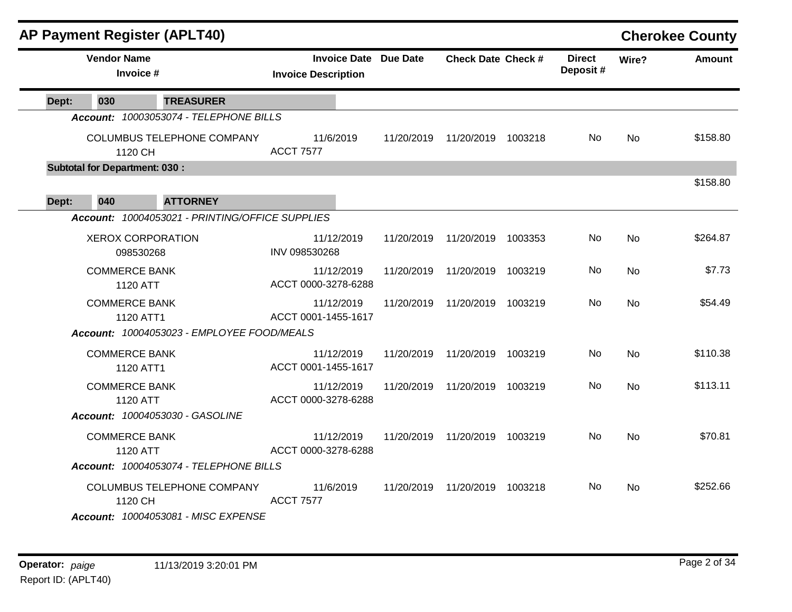|       |                                       | <b>AP Payment Register (APLT40)</b>                                |                                                            |            |                           |                           |           | <b>Cherokee County</b> |
|-------|---------------------------------------|--------------------------------------------------------------------|------------------------------------------------------------|------------|---------------------------|---------------------------|-----------|------------------------|
|       | <b>Vendor Name</b><br>Invoice #       |                                                                    | <b>Invoice Date Due Date</b><br><b>Invoice Description</b> |            | <b>Check Date Check #</b> | <b>Direct</b><br>Deposit# | Wire?     | <b>Amount</b>          |
| Dept: | 030                                   | <b>TREASURER</b>                                                   |                                                            |            |                           |                           |           |                        |
|       |                                       | Account: 10003053074 - TELEPHONE BILLS                             |                                                            |            |                           |                           |           |                        |
|       | 1120 CH                               | COLUMBUS TELEPHONE COMPANY                                         | 11/6/2019<br><b>ACCT 7577</b>                              | 11/20/2019 | 11/20/2019 1003218        | No.                       | <b>No</b> | \$158.80               |
|       | <b>Subtotal for Department: 030:</b>  |                                                                    |                                                            |            |                           |                           |           | \$158.80               |
| Dept: | 040                                   | <b>ATTORNEY</b><br>Account: 10004053021 - PRINTING/OFFICE SUPPLIES |                                                            |            |                           |                           |           |                        |
|       | <b>XEROX CORPORATION</b><br>098530268 |                                                                    | 11/12/2019<br>INV 098530268                                | 11/20/2019 | 11/20/2019 1003353        | No.                       | <b>No</b> | \$264.87               |
|       | <b>COMMERCE BANK</b><br>1120 ATT      |                                                                    | 11/12/2019<br>ACCT 0000-3278-6288                          | 11/20/2019 | 11/20/2019 1003219        | No.                       | <b>No</b> | \$7.73                 |
|       | <b>COMMERCE BANK</b><br>1120 ATT1     | Account: 10004053023 - EMPLOYEE FOOD/MEALS                         | 11/12/2019<br>ACCT 0001-1455-1617                          | 11/20/2019 | 11/20/2019 1003219        | No.                       | <b>No</b> | \$54.49                |
|       | <b>COMMERCE BANK</b><br>1120 ATT1     |                                                                    | 11/12/2019<br>ACCT 0001-1455-1617                          | 11/20/2019 | 11/20/2019 1003219        | No.                       | <b>No</b> | \$110.38               |
|       | <b>COMMERCE BANK</b><br>1120 ATT      |                                                                    | 11/12/2019<br>ACCT 0000-3278-6288                          | 11/20/2019 | 11/20/2019 1003219        | No.                       | <b>No</b> | \$113.11               |
|       |                                       | Account: 10004053030 - GASOLINE                                    |                                                            |            |                           |                           |           |                        |
|       | <b>COMMERCE BANK</b><br>1120 ATT      |                                                                    | 11/12/2019<br>ACCT 0000-3278-6288                          | 11/20/2019 | 11/20/2019 1003219        | No                        | <b>No</b> | \$70.81                |
|       |                                       | Account: 10004053074 - TELEPHONE BILLS                             |                                                            |            |                           |                           |           |                        |
|       | 1120 CH                               | <b>COLUMBUS TELEPHONE COMPANY</b>                                  | 11/6/2019<br><b>ACCT 7577</b>                              | 11/20/2019 | 11/20/2019 1003218        | No.                       | No.       | \$252.66               |
|       |                                       | Account: 10004053081 - MISC EXPENSE                                |                                                            |            |                           |                           |           |                        |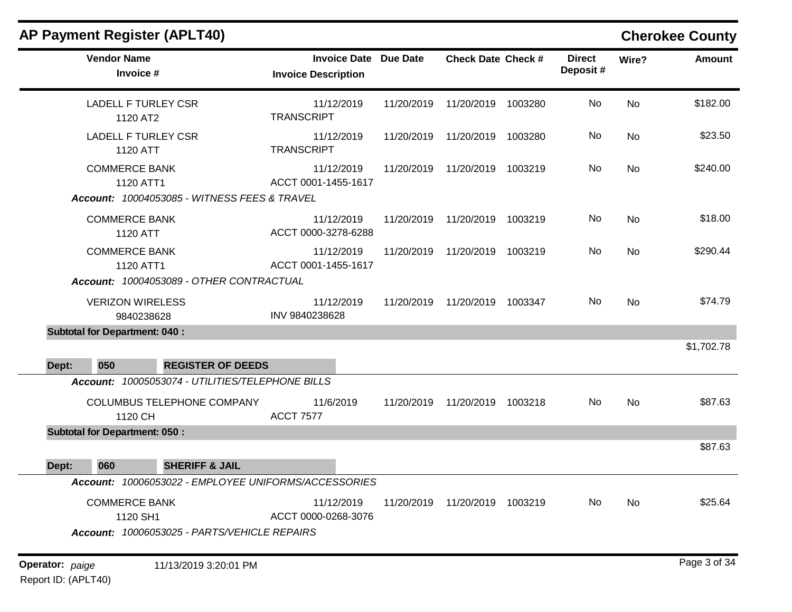|                                                                               | <b>AP Payment Register (APLT40)</b>                                               |                                                  |                                                            |                    |                           |         |                           |          | <b>Cherokee County</b> |
|-------------------------------------------------------------------------------|-----------------------------------------------------------------------------------|--------------------------------------------------|------------------------------------------------------------|--------------------|---------------------------|---------|---------------------------|----------|------------------------|
|                                                                               | <b>Vendor Name</b><br>Invoice #                                                   |                                                  | <b>Invoice Date Due Date</b><br><b>Invoice Description</b> |                    | <b>Check Date Check #</b> |         | <b>Direct</b><br>Deposit# | Wire?    | <b>Amount</b>          |
|                                                                               | <b>LADELL F TURLEY CSR</b><br>1120 AT2                                            |                                                  | 11/12/2019<br><b>TRANSCRIPT</b>                            | 11/20/2019         | 11/20/2019                | 1003280 | No                        | No       | \$182.00               |
|                                                                               | <b>LADELL F TURLEY CSR</b><br>1120 ATT                                            |                                                  | 11/12/2019<br><b>TRANSCRIPT</b>                            | 11/20/2019         | 11/20/2019                | 1003280 | No                        | No       | \$23.50                |
|                                                                               | <b>COMMERCE BANK</b><br>1120 ATT1<br>Account: 10004053085 - WITNESS FEES & TRAVEL |                                                  | 11/12/2019<br>ACCT 0001-1455-1617                          | 11/20/2019         | 11/20/2019                | 1003219 | No                        | No       | \$240.00               |
|                                                                               | <b>COMMERCE BANK</b><br>1120 ATT                                                  |                                                  | 11/12/2019<br>ACCT 0000-3278-6288                          | 11/20/2019         | 11/20/2019                | 1003219 | No                        | No       | \$18.00                |
| <b>COMMERCE BANK</b><br>1120 ATT1<br>Account: 10004053089 - OTHER CONTRACTUAL |                                                                                   | 11/12/2019<br>ACCT 0001-1455-1617                | 11/20/2019                                                 | 11/20/2019 1003219 |                           | No      | No                        | \$290.44 |                        |
|                                                                               | <b>VERIZON WIRELESS</b><br>9840238628                                             |                                                  | 11/12/2019<br>INV 9840238628                               | 11/20/2019         | 11/20/2019 1003347        |         | No                        | No       | \$74.79                |
| Dept:                                                                         | <b>Subtotal for Department: 040:</b><br>050                                       | <b>REGISTER OF DEEDS</b>                         |                                                            |                    |                           |         |                           |          | \$1,702.78             |
|                                                                               |                                                                                   | Account: 10005053074 - UTILITIES/TELEPHONE BILLS |                                                            |                    |                           |         |                           |          |                        |
|                                                                               | 1120 CH                                                                           | COLUMBUS TELEPHONE COMPANY                       | 11/6/2019<br><b>ACCT 7577</b>                              | 11/20/2019         | 11/20/2019                | 1003218 | No                        | No       | \$87.63                |
|                                                                               | <b>Subtotal for Department: 050:</b>                                              |                                                  |                                                            |                    |                           |         |                           |          |                        |
| Dept:                                                                         | 060                                                                               | <b>SHERIFF &amp; JAIL</b>                        |                                                            |                    |                           |         |                           |          | \$87.63                |
|                                                                               |                                                                                   |                                                  | Account: 10006053022 - EMPLOYEE UNIFORMS/ACCESSORIES       |                    |                           |         |                           |          |                        |
|                                                                               | <b>COMMERCE BANK</b><br>1120 SH1                                                  | Account: 10006053025 - PARTS/VEHICLE REPAIRS     | 11/12/2019<br>ACCT 0000-0268-3076                          | 11/20/2019         | 11/20/2019 1003219        |         | No                        | No       | \$25.64                |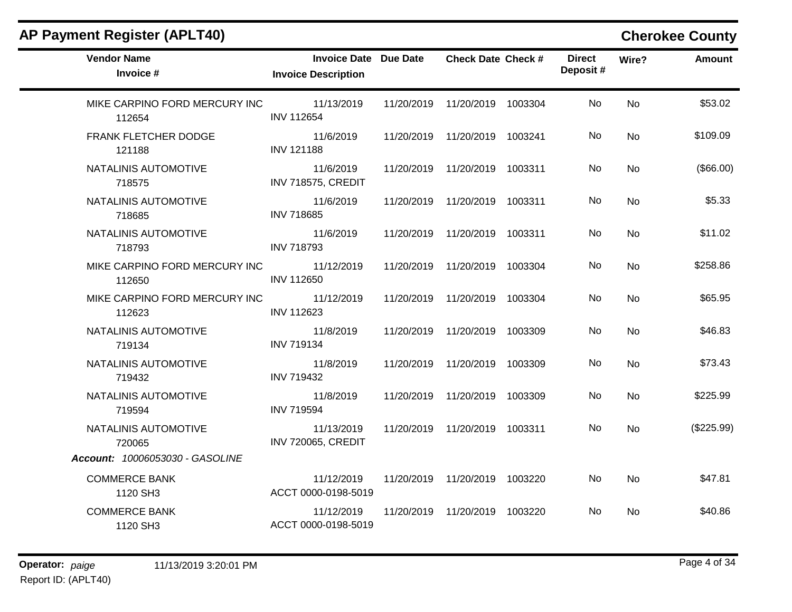| <b>Vendor Name</b><br>Invoice #                                   | <b>Invoice Date Due Date</b><br><b>Invoice Description</b> |            | <b>Check Date Check #</b>       | <b>Direct</b><br>Deposit# | Wire?          | <b>Amount</b> |
|-------------------------------------------------------------------|------------------------------------------------------------|------------|---------------------------------|---------------------------|----------------|---------------|
| MIKE CARPINO FORD MERCURY INC<br>112654                           | 11/13/2019<br><b>INV 112654</b>                            |            | 11/20/2019  11/20/2019  1003304 | No.                       | <b>No</b>      | \$53.02       |
| FRANK FLETCHER DODGE<br>121188                                    | 11/6/2019<br><b>INV 121188</b>                             |            | 11/20/2019  11/20/2019  1003241 | No.                       | No             | \$109.09      |
| NATALINIS AUTOMOTIVE<br>718575                                    | 11/6/2019<br><b>INV 718575, CREDIT</b>                     |            | 11/20/2019  11/20/2019  1003311 | No                        | <b>No</b>      | (\$66.00)     |
| NATALINIS AUTOMOTIVE<br>718685                                    | 11/6/2019<br><b>INV 718685</b>                             |            | 11/20/2019  11/20/2019  1003311 | No.                       | No             | \$5.33        |
| NATALINIS AUTOMOTIVE<br>718793                                    | 11/6/2019<br><b>INV 718793</b>                             | 11/20/2019 | 11/20/2019 1003311              | No                        | <b>No</b>      | \$11.02       |
| MIKE CARPINO FORD MERCURY INC<br>112650                           | 11/12/2019<br><b>INV 112650</b>                            |            | 11/20/2019  11/20/2019  1003304 | No.                       | N <sub>o</sub> | \$258.86      |
| MIKE CARPINO FORD MERCURY INC<br>112623                           | 11/12/2019<br><b>INV 112623</b>                            |            | 11/20/2019  11/20/2019  1003304 | No                        | <b>No</b>      | \$65.95       |
| NATALINIS AUTOMOTIVE<br>719134                                    | 11/8/2019<br><b>INV 719134</b>                             |            | 11/20/2019  11/20/2019  1003309 | No.                       | <b>No</b>      | \$46.83       |
| NATALINIS AUTOMOTIVE<br>719432                                    | 11/8/2019<br><b>INV 719432</b>                             |            | 11/20/2019  11/20/2019  1003309 | No                        | <b>No</b>      | \$73.43       |
| NATALINIS AUTOMOTIVE<br>719594                                    | 11/8/2019<br><b>INV 719594</b>                             |            | 11/20/2019  11/20/2019  1003309 | No.                       | N <sub>o</sub> | \$225.99      |
| NATALINIS AUTOMOTIVE<br>720065<br>Account: 10006053030 - GASOLINE | 11/13/2019<br><b>INV 720065, CREDIT</b>                    |            | 11/20/2019  11/20/2019  1003311 | No                        | No             | (\$225.99)    |
| <b>COMMERCE BANK</b><br>1120 SH3                                  | 11/12/2019<br>ACCT 0000-0198-5019                          |            | 11/20/2019  11/20/2019  1003220 | No.                       | <b>No</b>      | \$47.81       |
| <b>COMMERCE BANK</b><br>1120 SH3                                  | 11/12/2019<br>ACCT 0000-0198-5019                          | 11/20/2019 | 11/20/2019 1003220              | No.                       | N <sub>o</sub> | \$40.86       |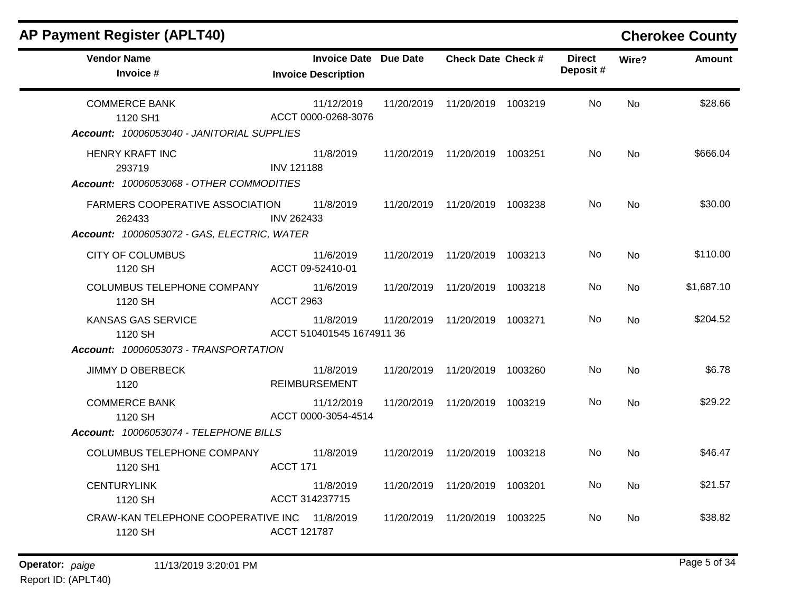| <b>AP Payment Register (APLT40)</b>                                                      |                   |                                                     |            |                                 |                           |           | <b>Cherokee County</b> |
|------------------------------------------------------------------------------------------|-------------------|-----------------------------------------------------|------------|---------------------------------|---------------------------|-----------|------------------------|
| <b>Vendor Name</b><br>Invoice #                                                          |                   | Invoice Date Due Date<br><b>Invoice Description</b> |            | <b>Check Date Check #</b>       | <b>Direct</b><br>Deposit# | Wire?     | <b>Amount</b>          |
| <b>COMMERCE BANK</b><br>1120 SH1<br>Account: 10006053040 - JANITORIAL SUPPLIES           |                   | 11/12/2019<br>ACCT 0000-0268-3076                   | 11/20/2019 | 11/20/2019 1003219              | No.                       | <b>No</b> | \$28.66                |
| <b>HENRY KRAFT INC</b><br>293719<br>Account: 10006053068 - OTHER COMMODITIES             | <b>INV 121188</b> | 11/8/2019                                           |            | 11/20/2019  11/20/2019  1003251 | No.                       | No        | \$666.04               |
| FARMERS COOPERATIVE ASSOCIATION<br>262433<br>Account: 10006053072 - GAS, ELECTRIC, WATER | INV 262433        | 11/8/2019                                           |            | 11/20/2019  11/20/2019  1003238 | No.                       | No        | \$30.00                |
| <b>CITY OF COLUMBUS</b><br>1120 SH                                                       |                   | 11/6/2019<br>ACCT 09-52410-01                       | 11/20/2019 | 11/20/2019 1003213              | No.                       | <b>No</b> | \$110.00               |
| COLUMBUS TELEPHONE COMPANY<br>1120 SH                                                    | <b>ACCT 2963</b>  | 11/6/2019                                           |            | 11/20/2019  11/20/2019  1003218 | No.                       | No.       | \$1,687.10             |
| KANSAS GAS SERVICE<br>1120 SH<br>Account: 10006053073 - TRANSPORTATION                   |                   | 11/8/2019<br>ACCT 510401545 1674911 36              | 11/20/2019 | 11/20/2019 1003271              | No.                       | <b>No</b> | \$204.52               |
| JIMMY D OBERBECK<br>1120                                                                 |                   | 11/8/2019<br><b>REIMBURSEMENT</b>                   |            | 11/20/2019  11/20/2019  1003260 | No.                       | <b>No</b> | \$6.78                 |
| <b>COMMERCE BANK</b><br>1120 SH<br>Account: 10006053074 - TELEPHONE BILLS                |                   | 11/12/2019<br>ACCT 0000-3054-4514                   | 11/20/2019 | 11/20/2019 1003219              | No                        | <b>No</b> | \$29.22                |
| COLUMBUS TELEPHONE COMPANY<br>1120 SH1                                                   | ACCT 171          | 11/8/2019                                           |            | 11/20/2019  11/20/2019  1003218 | No.                       | <b>No</b> | \$46.47                |
| <b>CENTURYLINK</b><br>1120 SH                                                            | ACCT 314237715    | 11/8/2019                                           | 11/20/2019 | 11/20/2019 1003201              | No.                       | <b>No</b> | \$21.57                |
| CRAW-KAN TELEPHONE COOPERATIVE INC 11/8/2019<br>1120 SH                                  | ACCT 121787       |                                                     | 11/20/2019 | 11/20/2019 1003225              | No.                       | <b>No</b> | \$38.82                |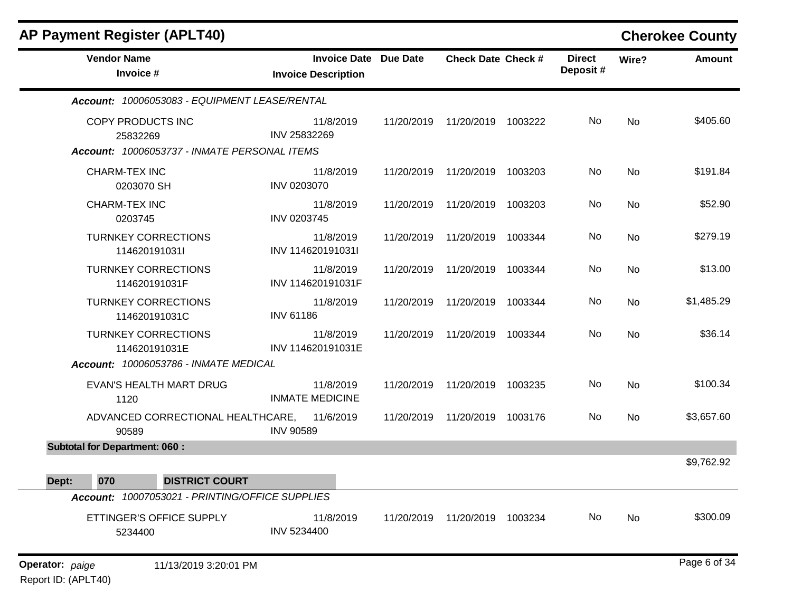| <b>AP Payment Register (APLT40)</b>                                           |                                                            |            |                                 |         |                           |           | <b>Cherokee County</b> |
|-------------------------------------------------------------------------------|------------------------------------------------------------|------------|---------------------------------|---------|---------------------------|-----------|------------------------|
| <b>Vendor Name</b><br>Invoice #                                               | <b>Invoice Date Due Date</b><br><b>Invoice Description</b> |            | <b>Check Date Check #</b>       |         | <b>Direct</b><br>Deposit# | Wire?     | <b>Amount</b>          |
| Account: 10006053083 - EQUIPMENT LEASE/RENTAL                                 |                                                            |            |                                 |         |                           |           |                        |
| COPY PRODUCTS INC<br>25832269<br>Account: 10006053737 - INMATE PERSONAL ITEMS | 11/8/2019<br>INV 25832269                                  |            | 11/20/2019  11/20/2019  1003222 |         | No                        | <b>No</b> | \$405.60               |
| <b>CHARM-TEX INC</b><br>0203070 SH                                            | 11/8/2019<br>INV 0203070                                   | 11/20/2019 | 11/20/2019                      | 1003203 | No                        | <b>No</b> | \$191.84               |
| <b>CHARM-TEX INC</b><br>0203745                                               | 11/8/2019<br>INV 0203745                                   | 11/20/2019 | 11/20/2019                      | 1003203 | No.                       | No        | \$52.90                |
| <b>TURNKEY CORRECTIONS</b><br>114620191031l                                   | 11/8/2019<br>INV 114620191031I                             | 11/20/2019 | 11/20/2019                      | 1003344 | No.                       | No        | \$279.19               |
| <b>TURNKEY CORRECTIONS</b><br>114620191031F                                   | 11/8/2019<br>INV 114620191031F                             | 11/20/2019 | 11/20/2019                      | 1003344 | No                        | <b>No</b> | \$13.00                |
| <b>TURNKEY CORRECTIONS</b><br>114620191031C                                   | 11/8/2019<br><b>INV 61186</b>                              | 11/20/2019 | 11/20/2019                      | 1003344 | No.                       | No        | \$1,485.29             |
| <b>TURNKEY CORRECTIONS</b><br>114620191031E                                   | 11/8/2019<br>INV 114620191031E                             | 11/20/2019 | 11/20/2019                      | 1003344 | No                        | <b>No</b> | \$36.14                |
| Account: 10006053786 - INMATE MEDICAL                                         |                                                            |            |                                 |         |                           |           |                        |
| EVAN'S HEALTH MART DRUG<br>1120                                               | 11/8/2019<br><b>INMATE MEDICINE</b>                        | 11/20/2019 | 11/20/2019                      | 1003235 | No                        | <b>No</b> | \$100.34               |
| ADVANCED CORRECTIONAL HEALTHCARE,<br>90589                                    | 11/6/2019<br><b>INV 90589</b>                              | 11/20/2019 | 11/20/2019                      | 1003176 | No.                       | No        | \$3,657.60             |
| <b>Subtotal for Department: 060:</b>                                          |                                                            |            |                                 |         |                           |           |                        |
| 070<br><b>DISTRICT COURT</b><br>Dept:                                         |                                                            |            |                                 |         |                           |           | \$9,762.92             |
| Account: 10007053021 - PRINTING/OFFICE SUPPLIES                               |                                                            |            |                                 |         |                           |           |                        |
| ETTINGER'S OFFICE SUPPLY<br>5234400                                           | 11/8/2019<br>INV 5234400                                   | 11/20/2019 | 11/20/2019                      | 1003234 | No.                       | No        | \$300.09               |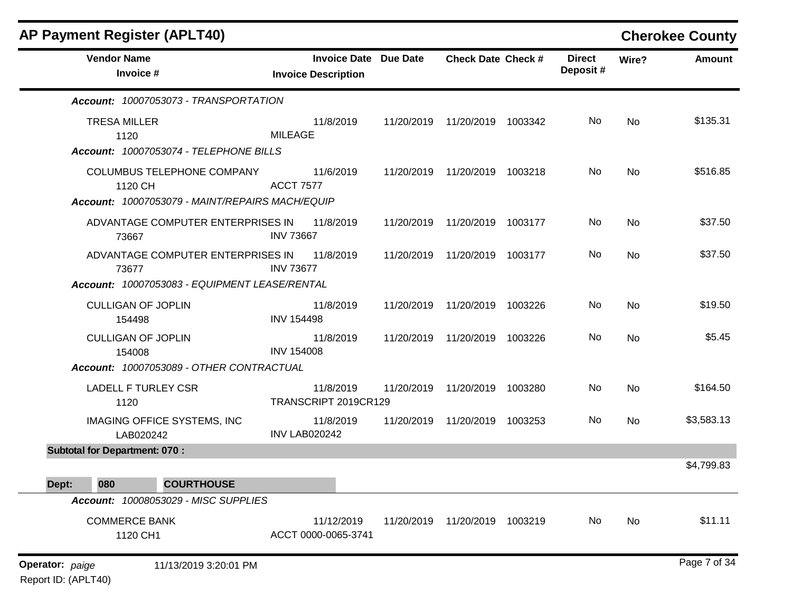| AP Payment Register (APLT40)                    |                      |                                                            |            |                                 |         |                           |       | <b>Cherokee County</b> |
|-------------------------------------------------|----------------------|------------------------------------------------------------|------------|---------------------------------|---------|---------------------------|-------|------------------------|
| <b>Vendor Name</b><br>Invoice #                 |                      | <b>Invoice Date Due Date</b><br><b>Invoice Description</b> |            | <b>Check Date Check #</b>       |         | <b>Direct</b><br>Deposit# | Wire? | <b>Amount</b>          |
| Account: 10007053073 - TRANSPORTATION           |                      |                                                            |            |                                 |         |                           |       |                        |
| <b>TRESA MILLER</b><br>1120                     | <b>MILEAGE</b>       | 11/8/2019                                                  |            | 11/20/2019  11/20/2019  1003342 |         | No                        | No    | \$135.31               |
| Account: 10007053074 - TELEPHONE BILLS          |                      |                                                            |            |                                 |         |                           |       |                        |
| COLUMBUS TELEPHONE COMPANY<br>1120 CH           | <b>ACCT 7577</b>     | 11/6/2019                                                  |            | 11/20/2019  11/20/2019  1003218 |         | No                        | No    | \$516.85               |
| Account: 10007053079 - MAINT/REPAIRS MACH/EQUIP |                      |                                                            |            |                                 |         |                           |       |                        |
| ADVANTAGE COMPUTER ENTERPRISES IN<br>73667      | <b>INV 73667</b>     | 11/8/2019                                                  |            | 11/20/2019 11/20/2019           | 1003177 | No                        | No    | \$37.50                |
| ADVANTAGE COMPUTER ENTERPRISES IN<br>73677      | <b>INV 73677</b>     | 11/8/2019                                                  | 11/20/2019 | 11/20/2019                      | 1003177 | No                        | No    | \$37.50                |
| Account: 10007053083 - EQUIPMENT LEASE/RENTAL   |                      |                                                            |            |                                 |         |                           |       |                        |
| <b>CULLIGAN OF JOPLIN</b><br>154498             | <b>INV 154498</b>    | 11/8/2019                                                  | 11/20/2019 | 11/20/2019                      | 1003226 | No                        | No    | \$19.50                |
| <b>CULLIGAN OF JOPLIN</b><br>154008             | <b>INV 154008</b>    | 11/8/2019                                                  | 11/20/2019 | 11/20/2019                      | 1003226 | No                        | No    | \$5.45                 |
| Account: 10007053089 - OTHER CONTRACTUAL        |                      |                                                            |            |                                 |         |                           |       |                        |
| LADELL F TURLEY CSR<br>1120                     |                      | 11/8/2019<br>TRANSCRIPT 2019CR129                          |            | 11/20/2019  11/20/2019  1003280 |         | No                        | No    | \$164.50               |
| IMAGING OFFICE SYSTEMS, INC<br>LAB020242        | <b>INV LAB020242</b> | 11/8/2019                                                  |            | 11/20/2019 11/20/2019           | 1003253 | No.                       | No    | \$3,583.13             |
| <b>Subtotal for Department: 070:</b>            |                      |                                                            |            |                                 |         |                           |       |                        |
|                                                 |                      |                                                            |            |                                 |         |                           |       | \$4,799.83             |
| <b>COURTHOUSE</b><br>Dept:<br>080               |                      |                                                            |            |                                 |         |                           |       |                        |
| Account: 10008053029 - MISC SUPPLIES            |                      |                                                            |            |                                 |         |                           |       |                        |
| <b>COMMERCE BANK</b><br>1120 CH1                |                      | 11/12/2019<br>ACCT 0000-0065-3741                          |            | 11/20/2019  11/20/2019  1003219 |         | No                        | No    | \$11.11                |
| 11/13/2019 3:20:01 PM<br>Operator: paige        |                      |                                                            |            |                                 |         |                           |       | Page 7 of 34           |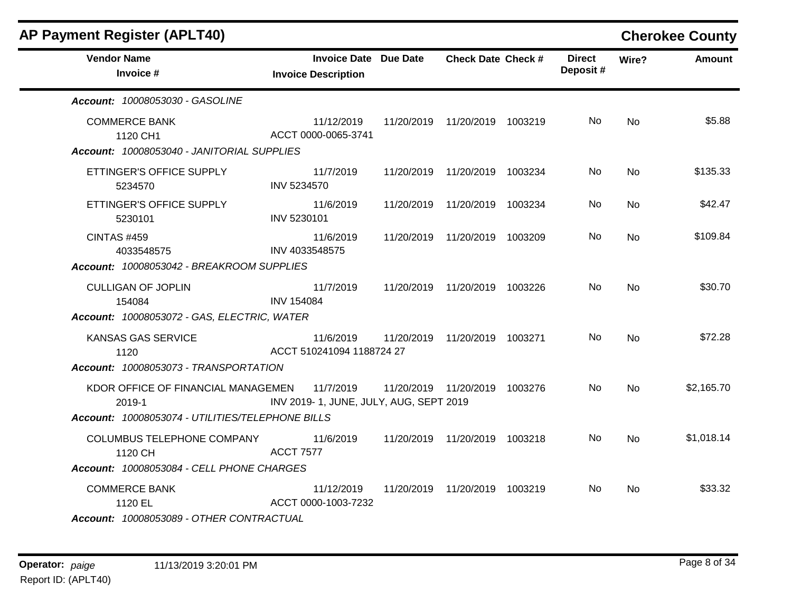| <b>AP Payment Register (APLT40)</b>                                            |                                                            |                                 |                           |           | <b>Cherokee County</b> |
|--------------------------------------------------------------------------------|------------------------------------------------------------|---------------------------------|---------------------------|-----------|------------------------|
| <b>Vendor Name</b><br>Invoice #                                                | <b>Invoice Date Due Date</b><br><b>Invoice Description</b> | <b>Check Date Check #</b>       | <b>Direct</b><br>Deposit# | Wire?     | <b>Amount</b>          |
| Account: 10008053030 - GASOLINE                                                |                                                            |                                 |                           |           |                        |
| <b>COMMERCE BANK</b><br>1120 CH1<br>Account: 10008053040 - JANITORIAL SUPPLIES | 11/12/2019<br>ACCT 0000-0065-3741                          | 11/20/2019  11/20/2019  1003219 | No.                       | No        | \$5.88                 |
| ETTINGER'S OFFICE SUPPLY<br>5234570                                            | 11/7/2019<br>INV 5234570                                   | 11/20/2019  11/20/2019  1003234 | No.                       | <b>No</b> | \$135.33               |
| ETTINGER'S OFFICE SUPPLY<br>5230101                                            | 11/6/2019<br>INV 5230101                                   | 11/20/2019  11/20/2019  1003234 | No.                       | <b>No</b> | \$42.47                |
| <b>CINTAS #459</b><br>4033548575                                               | 11/6/2019<br>INV 4033548575                                | 11/20/2019  11/20/2019  1003209 | No.                       | <b>No</b> | \$109.84               |
| Account: 10008053042 - BREAKROOM SUPPLIES                                      |                                                            |                                 |                           |           |                        |
| <b>CULLIGAN OF JOPLIN</b><br>154084                                            | 11/7/2019<br><b>INV 154084</b>                             | 11/20/2019  11/20/2019  1003226 | No.                       | <b>No</b> | \$30.70                |
| Account: 10008053072 - GAS, ELECTRIC, WATER                                    |                                                            |                                 |                           |           |                        |
| KANSAS GAS SERVICE<br>1120                                                     | 11/6/2019<br>ACCT 510241094 1188724 27                     | 11/20/2019  11/20/2019  1003271 | No.                       | <b>No</b> | \$72.28                |
| Account: 10008053073 - TRANSPORTATION                                          |                                                            |                                 |                           |           |                        |
| KDOR OFFICE OF FINANCIAL MANAGEMEN<br>2019-1                                   | 11/7/2019<br>INV 2019-1, JUNE, JULY, AUG, SEPT 2019        | 11/20/2019  11/20/2019  1003276 | No.                       | <b>No</b> | \$2,165.70             |
| Account: 10008053074 - UTILITIES/TELEPHONE BILLS                               |                                                            |                                 |                           |           |                        |
| COLUMBUS TELEPHONE COMPANY<br>1120 CH                                          | 11/6/2019<br><b>ACCT 7577</b>                              | 11/20/2019  11/20/2019  1003218 | No.                       | No.       | \$1,018.14             |
| Account: 10008053084 - CELL PHONE CHARGES                                      |                                                            |                                 |                           |           |                        |
| <b>COMMERCE BANK</b><br>1120 EL<br>Account: 10008053089 - OTHER CONTRACTUAL    | 11/12/2019<br>ACCT 0000-1003-7232                          | 11/20/2019  11/20/2019  1003219 | No.                       | No.       | \$33.32                |

## $\blacksquare$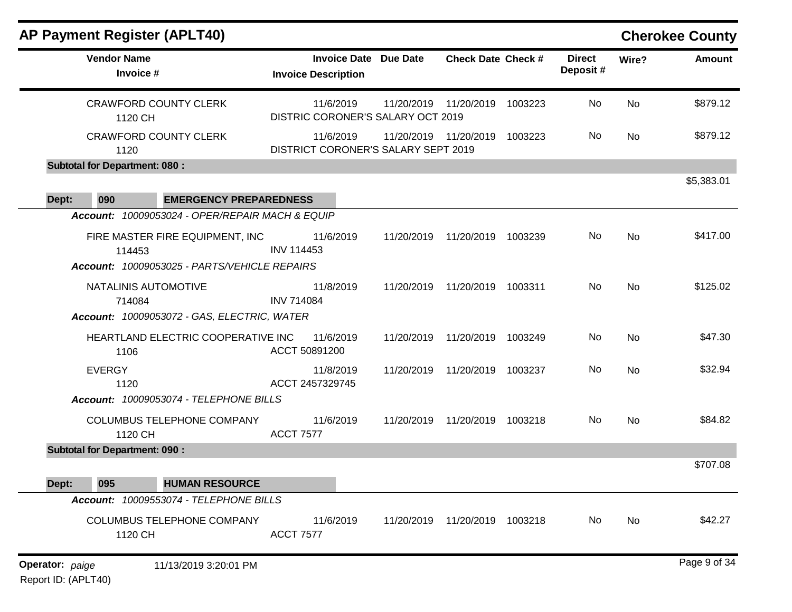| <b>AP Payment Register (APLT40)</b>             |                                                            |            |                                 |         |                           |           | <b>Cherokee County</b> |
|-------------------------------------------------|------------------------------------------------------------|------------|---------------------------------|---------|---------------------------|-----------|------------------------|
| <b>Vendor Name</b><br>Invoice #                 | <b>Invoice Date Due Date</b><br><b>Invoice Description</b> |            | <b>Check Date Check #</b>       |         | <b>Direct</b><br>Deposit# | Wire?     | <b>Amount</b>          |
| <b>CRAWFORD COUNTY CLERK</b><br>1120 CH         | 11/6/2019<br>DISTRIC CORONER'S SALARY OCT 2019             |            | 11/20/2019 11/20/2019           | 1003223 | No                        | No        | \$879.12               |
| <b>CRAWFORD COUNTY CLERK</b><br>1120            | 11/6/2019<br>DISTRICT CORONER'S SALARY SEPT 2019           |            | 11/20/2019 11/20/2019           | 1003223 | No                        | No        | \$879.12               |
| <b>Subtotal for Department: 080:</b>            |                                                            |            |                                 |         |                           |           |                        |
| Dept:<br>090<br><b>EMERGENCY PREPAREDNESS</b>   |                                                            |            |                                 |         |                           |           | \$5,383.01             |
| Account: 10009053024 - OPER/REPAIR MACH & EQUIP |                                                            |            |                                 |         |                           |           |                        |
| FIRE MASTER FIRE EQUIPMENT, INC<br>114453       | 11/6/2019<br><b>INV 114453</b>                             | 11/20/2019 | 11/20/2019 1003239              |         | No                        | <b>No</b> | \$417.00               |
| Account: 10009053025 - PARTS/VEHICLE REPAIRS    |                                                            |            |                                 |         |                           |           |                        |
| NATALINIS AUTOMOTIVE<br>714084                  | 11/8/2019<br><b>INV 714084</b>                             | 11/20/2019 | 11/20/2019 1003311              |         | No                        | <b>No</b> | \$125.02               |
| Account: 10009053072 - GAS, ELECTRIC, WATER     |                                                            |            |                                 |         |                           |           |                        |
| HEARTLAND ELECTRIC COOPERATIVE INC<br>1106      | 11/6/2019<br>ACCT 50891200                                 | 11/20/2019 | 11/20/2019 1003249              |         | No                        | No        | \$47.30                |
| <b>EVERGY</b><br>1120                           | 11/8/2019<br>ACCT 2457329745                               | 11/20/2019 | 11/20/2019                      | 1003237 | No                        | No        | \$32.94                |
| Account: 10009053074 - TELEPHONE BILLS          |                                                            |            |                                 |         |                           |           |                        |
| COLUMBUS TELEPHONE COMPANY<br>1120 CH           | 11/6/2019<br><b>ACCT 7577</b>                              | 11/20/2019 | 11/20/2019                      | 1003218 | No.                       | No        | \$84.82                |
| <b>Subtotal for Department: 090:</b>            |                                                            |            |                                 |         |                           |           |                        |
| <b>HUMAN RESOURCE</b><br>Dept:<br>095           |                                                            |            |                                 |         |                           |           | \$707.08               |
| Account: 10009553074 - TELEPHONE BILLS          |                                                            |            |                                 |         |                           |           |                        |
| COLUMBUS TELEPHONE COMPANY<br>1120 CH           | 11/6/2019<br><b>ACCT 7577</b>                              |            | 11/20/2019  11/20/2019  1003218 |         | No                        | No        | \$42.27                |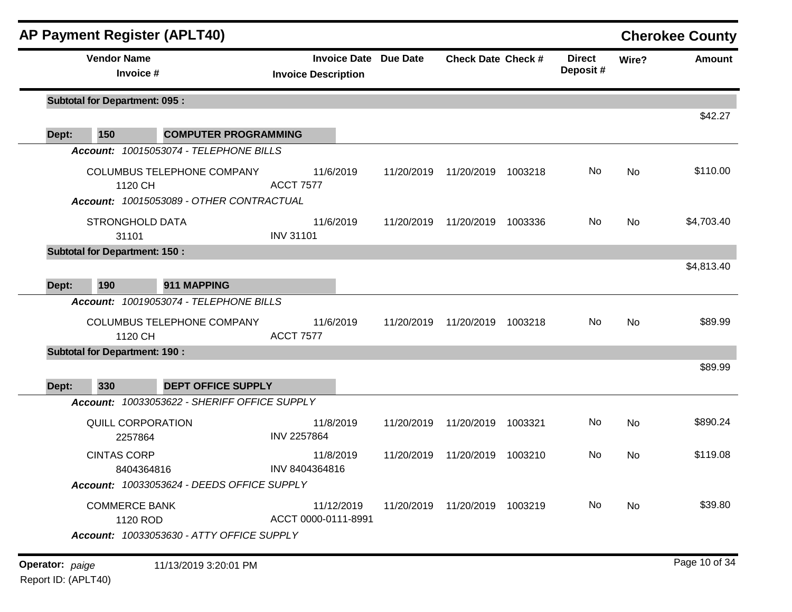| <b>Vendor Name</b><br><b>Invoice Date Due Date</b><br><b>Direct</b><br><b>Check Date Check #</b><br>Wire?<br>Deposit#<br>Invoice #<br><b>Invoice Description</b><br><b>Subtotal for Department: 095:</b><br>\$42.27<br>150<br><b>COMPUTER PROGRAMMING</b><br>Account: 10015053074 - TELEPHONE BILLS<br><b>COLUMBUS TELEPHONE COMPANY</b><br>11/6/2019<br>No<br>No<br>11/20/2019<br>11/20/2019<br>1003218<br><b>ACCT 7577</b><br>1120 CH<br>Account: 10015053089 - OTHER CONTRACTUAL<br>No<br><b>STRONGHOLD DATA</b><br>11/6/2019<br>No<br>11/20/2019<br>11/20/2019<br>1003336<br><b>INV 31101</b><br>31101<br><b>Subtotal for Department: 150:</b><br>\$4,813.40<br>190<br>911 MAPPING<br>Dept:<br>Account: 10019053074 - TELEPHONE BILLS<br>COLUMBUS TELEPHONE COMPANY<br>11/6/2019<br>No<br>11/20/2019<br>11/20/2019<br>1003218<br>No<br><b>ACCT 7577</b><br>1120 CH<br><b>Subtotal for Department: 190:</b><br>330<br><b>DEPT OFFICE SUPPLY</b><br>Account: 10033053622 - SHERIFF OFFICE SUPPLY<br>QUILL CORPORATION<br>11/8/2019<br>11/20/2019<br>11/20/2019<br>No<br>No<br>1003321<br><b>INV 2257864</b><br>2257864<br><b>CINTAS CORP</b><br>11/8/2019<br>11/20/2019<br>11/20/2019<br>1003210<br>No.<br>No<br>INV 8404364816<br>8404364816<br>Account: 10033053624 - DEEDS OFFICE SUPPLY<br><b>COMMERCE BANK</b><br>No<br>11/12/2019<br>11/20/2019  11/20/2019  1003219<br>No<br>ACCT 0000-0111-8991<br>1120 ROD<br>Account: 10033053630 - ATTY OFFICE SUPPLY<br><b>Operator:</b> paige |       | <b>AP Payment Register (APLT40)</b> |  |  |  | <b>Cherokee County</b> |
|----------------------------------------------------------------------------------------------------------------------------------------------------------------------------------------------------------------------------------------------------------------------------------------------------------------------------------------------------------------------------------------------------------------------------------------------------------------------------------------------------------------------------------------------------------------------------------------------------------------------------------------------------------------------------------------------------------------------------------------------------------------------------------------------------------------------------------------------------------------------------------------------------------------------------------------------------------------------------------------------------------------------------------------------------------------------------------------------------------------------------------------------------------------------------------------------------------------------------------------------------------------------------------------------------------------------------------------------------------------------------------------------------------------------------------------------------------------------------------------------|-------|-------------------------------------|--|--|--|------------------------|
|                                                                                                                                                                                                                                                                                                                                                                                                                                                                                                                                                                                                                                                                                                                                                                                                                                                                                                                                                                                                                                                                                                                                                                                                                                                                                                                                                                                                                                                                                              |       |                                     |  |  |  | <b>Amount</b>          |
|                                                                                                                                                                                                                                                                                                                                                                                                                                                                                                                                                                                                                                                                                                                                                                                                                                                                                                                                                                                                                                                                                                                                                                                                                                                                                                                                                                                                                                                                                              |       |                                     |  |  |  |                        |
|                                                                                                                                                                                                                                                                                                                                                                                                                                                                                                                                                                                                                                                                                                                                                                                                                                                                                                                                                                                                                                                                                                                                                                                                                                                                                                                                                                                                                                                                                              | Dept: |                                     |  |  |  |                        |
|                                                                                                                                                                                                                                                                                                                                                                                                                                                                                                                                                                                                                                                                                                                                                                                                                                                                                                                                                                                                                                                                                                                                                                                                                                                                                                                                                                                                                                                                                              |       |                                     |  |  |  |                        |
|                                                                                                                                                                                                                                                                                                                                                                                                                                                                                                                                                                                                                                                                                                                                                                                                                                                                                                                                                                                                                                                                                                                                                                                                                                                                                                                                                                                                                                                                                              |       |                                     |  |  |  | \$110.00               |
|                                                                                                                                                                                                                                                                                                                                                                                                                                                                                                                                                                                                                                                                                                                                                                                                                                                                                                                                                                                                                                                                                                                                                                                                                                                                                                                                                                                                                                                                                              |       |                                     |  |  |  | \$4,703.40             |
|                                                                                                                                                                                                                                                                                                                                                                                                                                                                                                                                                                                                                                                                                                                                                                                                                                                                                                                                                                                                                                                                                                                                                                                                                                                                                                                                                                                                                                                                                              |       |                                     |  |  |  |                        |
|                                                                                                                                                                                                                                                                                                                                                                                                                                                                                                                                                                                                                                                                                                                                                                                                                                                                                                                                                                                                                                                                                                                                                                                                                                                                                                                                                                                                                                                                                              |       |                                     |  |  |  |                        |
|                                                                                                                                                                                                                                                                                                                                                                                                                                                                                                                                                                                                                                                                                                                                                                                                                                                                                                                                                                                                                                                                                                                                                                                                                                                                                                                                                                                                                                                                                              |       |                                     |  |  |  |                        |
|                                                                                                                                                                                                                                                                                                                                                                                                                                                                                                                                                                                                                                                                                                                                                                                                                                                                                                                                                                                                                                                                                                                                                                                                                                                                                                                                                                                                                                                                                              |       |                                     |  |  |  | \$89.99                |
|                                                                                                                                                                                                                                                                                                                                                                                                                                                                                                                                                                                                                                                                                                                                                                                                                                                                                                                                                                                                                                                                                                                                                                                                                                                                                                                                                                                                                                                                                              |       |                                     |  |  |  |                        |
|                                                                                                                                                                                                                                                                                                                                                                                                                                                                                                                                                                                                                                                                                                                                                                                                                                                                                                                                                                                                                                                                                                                                                                                                                                                                                                                                                                                                                                                                                              |       |                                     |  |  |  | \$89.99                |
|                                                                                                                                                                                                                                                                                                                                                                                                                                                                                                                                                                                                                                                                                                                                                                                                                                                                                                                                                                                                                                                                                                                                                                                                                                                                                                                                                                                                                                                                                              | Dept: |                                     |  |  |  |                        |
|                                                                                                                                                                                                                                                                                                                                                                                                                                                                                                                                                                                                                                                                                                                                                                                                                                                                                                                                                                                                                                                                                                                                                                                                                                                                                                                                                                                                                                                                                              |       |                                     |  |  |  |                        |
|                                                                                                                                                                                                                                                                                                                                                                                                                                                                                                                                                                                                                                                                                                                                                                                                                                                                                                                                                                                                                                                                                                                                                                                                                                                                                                                                                                                                                                                                                              |       |                                     |  |  |  | \$890.24               |
|                                                                                                                                                                                                                                                                                                                                                                                                                                                                                                                                                                                                                                                                                                                                                                                                                                                                                                                                                                                                                                                                                                                                                                                                                                                                                                                                                                                                                                                                                              |       |                                     |  |  |  | \$119.08               |
|                                                                                                                                                                                                                                                                                                                                                                                                                                                                                                                                                                                                                                                                                                                                                                                                                                                                                                                                                                                                                                                                                                                                                                                                                                                                                                                                                                                                                                                                                              |       |                                     |  |  |  |                        |
|                                                                                                                                                                                                                                                                                                                                                                                                                                                                                                                                                                                                                                                                                                                                                                                                                                                                                                                                                                                                                                                                                                                                                                                                                                                                                                                                                                                                                                                                                              |       |                                     |  |  |  | \$39.80                |
|                                                                                                                                                                                                                                                                                                                                                                                                                                                                                                                                                                                                                                                                                                                                                                                                                                                                                                                                                                                                                                                                                                                                                                                                                                                                                                                                                                                                                                                                                              |       | 11/13/2019 3:20:01 PM               |  |  |  | Page 10 of 34          |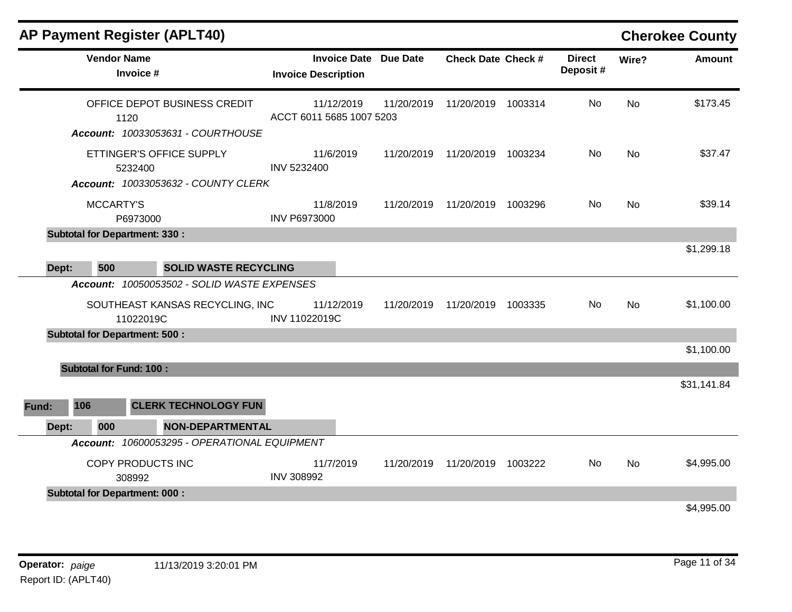|       |                                             | <b>AP Payment Register (APLT40)</b>                                            |                                                     |            |                           |                           |           | <b>Cherokee County</b> |
|-------|---------------------------------------------|--------------------------------------------------------------------------------|-----------------------------------------------------|------------|---------------------------|---------------------------|-----------|------------------------|
|       | <b>Vendor Name</b><br>Invoice #             |                                                                                | Invoice Date Due Date<br><b>Invoice Description</b> |            | <b>Check Date Check #</b> | <b>Direct</b><br>Deposit# | Wire?     | <b>Amount</b>          |
|       | 1120                                        | OFFICE DEPOT BUSINESS CREDIT<br>Account: 10033053631 - COURTHOUSE              | 11/12/2019<br>ACCT 6011 5685 1007 5203              | 11/20/2019 | 11/20/2019 1003314        | No                        | No        | \$173.45               |
|       | 5232400                                     | ETTINGER'S OFFICE SUPPLY<br>Account: 10033053632 - COUNTY CLERK                | 11/6/2019<br>INV 5232400                            | 11/20/2019 | 11/20/2019 1003234        | No                        | No        | \$37.47                |
|       | <b>MCCARTY'S</b><br>P6973000                |                                                                                | 11/8/2019<br><b>INV P6973000</b>                    | 11/20/2019 | 11/20/2019 1003296        | No.                       | No        | \$39.14                |
| Dept: | <b>Subtotal for Department: 330:</b><br>500 | <b>SOLID WASTE RECYCLING</b>                                                   |                                                     |            |                           |                           |           | \$1,299.18             |
|       | 11022019C                                   | Account: 10050053502 - SOLID WASTE EXPENSES<br>SOUTHEAST KANSAS RECYCLING, INC | 11/12/2019<br>INV 11022019C                         | 11/20/2019 | 11/20/2019 1003335        | No.                       | <b>No</b> | \$1,100.00             |
|       | <b>Subtotal for Department: 500:</b>        |                                                                                |                                                     |            |                           |                           |           | \$1,100.00             |
|       | <b>Subtotal for Fund: 100:</b>              |                                                                                |                                                     |            |                           |                           |           |                        |
| Fund: | 106                                         | <b>CLERK TECHNOLOGY FUN</b>                                                    |                                                     |            |                           |                           |           | \$31,141.84            |
| Dept: | 000                                         | <b>NON-DEPARTMENTAL</b>                                                        |                                                     |            |                           |                           |           |                        |
|       |                                             | Account: 10600053295 - OPERATIONAL EQUIPMENT                                   |                                                     |            |                           |                           |           |                        |
|       | COPY PRODUCTS INC<br>308992                 |                                                                                | 11/7/2019<br><b>INV 308992</b>                      | 11/20/2019 | 11/20/2019 1003222        | No                        | <b>No</b> | \$4,995.00             |
|       | <b>Subtotal for Department: 000:</b>        |                                                                                |                                                     |            |                           |                           |           | \$4,995.00             |
|       |                                             |                                                                                |                                                     |            |                           |                           |           |                        |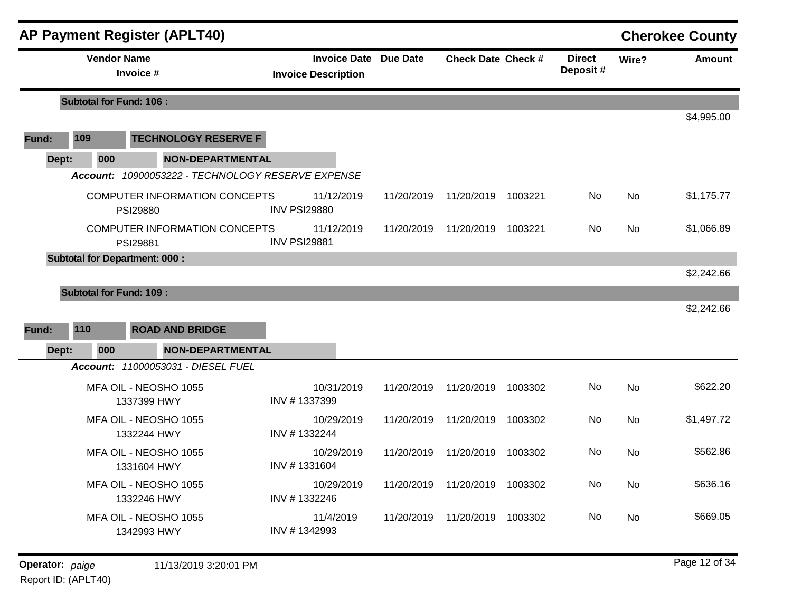|       |                                | <b>AP Payment Register (APLT40)</b>               |                                                            |            |                                 |         |                           |           | <b>Cherokee County</b> |
|-------|--------------------------------|---------------------------------------------------|------------------------------------------------------------|------------|---------------------------------|---------|---------------------------|-----------|------------------------|
|       | <b>Vendor Name</b>             | Invoice #                                         | <b>Invoice Date Due Date</b><br><b>Invoice Description</b> |            | <b>Check Date Check #</b>       |         | <b>Direct</b><br>Deposit# | Wire?     | <b>Amount</b>          |
|       | <b>Subtotal for Fund: 106:</b> |                                                   |                                                            |            |                                 |         |                           |           |                        |
| Fund: | 109                            | <b>TECHNOLOGY RESERVE F</b>                       |                                                            |            |                                 |         |                           |           | \$4,995.00             |
| Dept: | 000                            | <b>NON-DEPARTMENTAL</b>                           |                                                            |            |                                 |         |                           |           |                        |
|       |                                | Account: 10900053222 - TECHNOLOGY RESERVE EXPENSE |                                                            |            |                                 |         |                           |           |                        |
|       |                                | <b>COMPUTER INFORMATION CONCEPTS</b><br>PSI29880  | 11/12/2019<br><b>INV PSI29880</b>                          | 11/20/2019 | 11/20/2019                      | 1003221 | No                        | <b>No</b> | \$1,175.77             |
|       |                                | COMPUTER INFORMATION CONCEPTS<br>PSI29881         | 11/12/2019<br><b>INV PSI29881</b>                          | 11/20/2019 | 11/20/2019                      | 1003221 | No                        | No        | \$1,066.89             |
|       |                                | <b>Subtotal for Department: 000:</b>              |                                                            |            |                                 |         |                           |           |                        |
|       |                                |                                                   |                                                            |            |                                 |         |                           |           | \$2,242.66             |
|       | <b>Subtotal for Fund: 109:</b> |                                                   |                                                            |            |                                 |         |                           |           |                        |
|       |                                |                                                   |                                                            |            |                                 |         |                           |           | \$2,242.66             |
| Fund: | 110                            | <b>ROAD AND BRIDGE</b>                            |                                                            |            |                                 |         |                           |           |                        |
| Dept: | 000                            | <b>NON-DEPARTMENTAL</b>                           |                                                            |            |                                 |         |                           |           |                        |
|       |                                | Account: 11000053031 - DIESEL FUEL                |                                                            |            |                                 |         |                           |           |                        |
|       |                                | MFA OIL - NEOSHO 1055<br>1337399 HWY              | 10/31/2019<br>INV #1337399                                 | 11/20/2019 | 11/20/2019                      | 1003302 | No                        | No        | \$622.20               |
|       |                                | MFA OIL - NEOSHO 1055<br>1332244 HWY              | 10/29/2019<br>INV #1332244                                 | 11/20/2019 | 11/20/2019                      | 1003302 | No                        | No        | \$1,497.72             |
|       |                                | MFA OIL - NEOSHO 1055<br>1331604 HWY              | 10/29/2019<br>INV #1331604                                 | 11/20/2019 | 11/20/2019                      | 1003302 | No                        | No        | \$562.86               |
|       |                                | MFA OIL - NEOSHO 1055<br>1332246 HWY              | 10/29/2019<br>INV #1332246                                 |            | 11/20/2019  11/20/2019  1003302 |         | No                        | No        | \$636.16               |
|       |                                | MFA OIL - NEOSHO 1055<br>1342993 HWY              | 11/4/2019<br>INV #1342993                                  |            | 11/20/2019  11/20/2019  1003302 |         | No                        | No        | \$669.05               |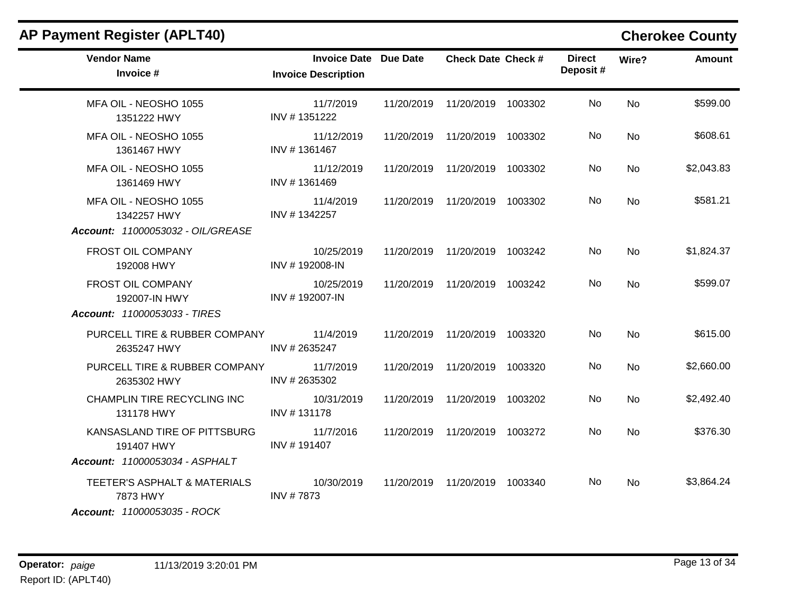| <b>AP Payment Register (APLT40)</b>                                          |                                                            |                                 |                           |           | <b>Cherokee County</b> |
|------------------------------------------------------------------------------|------------------------------------------------------------|---------------------------------|---------------------------|-----------|------------------------|
| <b>Vendor Name</b><br>Invoice #                                              | <b>Invoice Date Due Date</b><br><b>Invoice Description</b> | <b>Check Date Check #</b>       | <b>Direct</b><br>Deposit# | Wire?     | <b>Amount</b>          |
| MFA OIL - NEOSHO 1055<br>1351222 HWY                                         | 11/7/2019<br>INV #1351222                                  | 11/20/2019  11/20/2019  1003302 | No.                       | <b>No</b> | \$599.00               |
| MFA OIL - NEOSHO 1055<br>1361467 HWY                                         | 11/12/2019<br>INV #1361467                                 | 11/20/2019  11/20/2019  1003302 | No.                       | No        | \$608.61               |
| MFA OIL - NEOSHO 1055<br>1361469 HWY                                         | 11/12/2019<br>INV #1361469                                 | 11/20/2019  11/20/2019  1003302 | No.                       | No        | \$2,043.83             |
| MFA OIL - NEOSHO 1055<br>1342257 HWY                                         | 11/4/2019<br>INV #1342257                                  | 11/20/2019  11/20/2019  1003302 | No.                       | <b>No</b> | \$581.21               |
| Account: 11000053032 - OIL/GREASE<br>FROST OIL COMPANY<br>192008 HWY         | 10/25/2019<br>INV #192008-IN                               | 11/20/2019  11/20/2019  1003242 | No.                       | No        | \$1,824.37             |
| FROST OIL COMPANY<br>192007-IN HWY                                           | 10/25/2019<br>INV #192007-IN                               | 11/20/2019  11/20/2019  1003242 | No.                       | <b>No</b> | \$599.07               |
| Account: 11000053033 - TIRES                                                 |                                                            |                                 |                           |           |                        |
| PURCELL TIRE & RUBBER COMPANY<br>2635247 HWY                                 | 11/4/2019<br>INV #2635247                                  | 11/20/2019  11/20/2019  1003320 | No                        | <b>No</b> | \$615.00               |
| PURCELL TIRE & RUBBER COMPANY<br>2635302 HWY                                 | 11/7/2019<br>INV #2635302                                  | 11/20/2019  11/20/2019  1003320 | No.                       | No        | \$2,660.00             |
| CHAMPLIN TIRE RECYCLING INC<br>131178 HWY                                    | 10/31/2019<br>INV #131178                                  | 11/20/2019  11/20/2019  1003202 | No.                       | <b>No</b> | \$2,492.40             |
| KANSASLAND TIRE OF PITTSBURG<br>191407 HWY<br>Account: 11000053034 - ASPHALT | 11/7/2016<br>INV #191407                                   | 11/20/2019  11/20/2019  1003272 | No.                       | <b>No</b> | \$376.30               |
| TEETER'S ASPHALT & MATERIALS<br>7873 HWY<br>Account: 11000053035 - ROCK      | 10/30/2019<br>INV #7873                                    | 11/20/2019  11/20/2019  1003340 | No.                       | No.       | \$3,864.24             |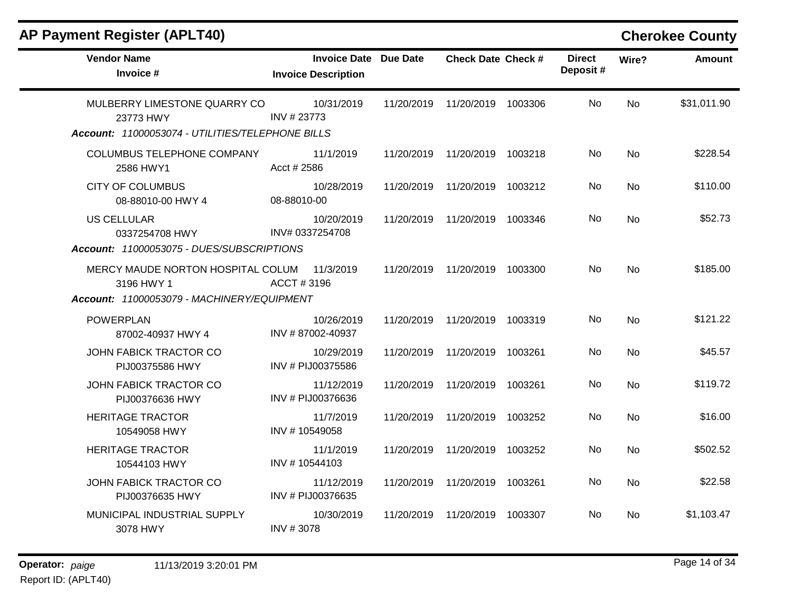| <b>Vendor Name</b><br>Invoice #                                                               | <b>Invoice Date Due Date</b><br><b>Invoice Description</b> |            | <b>Check Date Check #</b>       |         | <b>Direct</b><br>Deposit# | Wire?     | <b>Amount</b> |
|-----------------------------------------------------------------------------------------------|------------------------------------------------------------|------------|---------------------------------|---------|---------------------------|-----------|---------------|
| MULBERRY LIMESTONE QUARRY CO<br>23773 HWY<br>Account: 11000053074 - UTILITIES/TELEPHONE BILLS | 10/31/2019<br>INV #23773                                   |            | 11/20/2019  11/20/2019  1003306 |         | No                        | No        | \$31,011.90   |
| COLUMBUS TELEPHONE COMPANY<br>2586 HWY1                                                       | 11/1/2019<br>Acct # 2586                                   |            | 11/20/2019  11/20/2019  1003218 |         | No                        | <b>No</b> | \$228.54      |
| <b>CITY OF COLUMBUS</b><br>08-88010-00 HWY 4                                                  | 10/28/2019<br>08-88010-00                                  |            | 11/20/2019  11/20/2019  1003212 |         | No                        | <b>No</b> | \$110.00      |
| <b>US CELLULAR</b><br>0337254708 HWY<br>Account: 11000053075 - DUES/SUBSCRIPTIONS             | 10/20/2019<br>INV# 0337254708                              |            | 11/20/2019 11/20/2019           | 1003346 | No                        | <b>No</b> | \$52.73       |
| MERCY MAUDE NORTON HOSPITAL COLUM<br>3196 HWY 1<br>Account: 11000053079 - MACHINERY/EQUIPMENT | 11/3/2019<br>ACCT#3196                                     |            | 11/20/2019  11/20/2019  1003300 |         | No.                       | <b>No</b> | \$185.00      |
| <b>POWERPLAN</b><br>87002-40937 HWY 4                                                         | 10/26/2019<br>INV #87002-40937                             |            | 11/20/2019  11/20/2019  1003319 |         | No.                       | No        | \$121.22      |
| JOHN FABICK TRACTOR CO<br>PIJ00375586 HWY                                                     | 10/29/2019<br>INV # PIJ00375586                            |            | 11/20/2019  11/20/2019  1003261 |         | No.                       | <b>No</b> | \$45.57       |
| JOHN FABICK TRACTOR CO<br>PIJ00376636 HWY                                                     | 11/12/2019<br>INV # PIJ00376636                            |            | 11/20/2019  11/20/2019  1003261 |         | No.                       | <b>No</b> | \$119.72      |
| <b>HERITAGE TRACTOR</b><br>10549058 HWY                                                       | 11/7/2019<br>INV #10549058                                 |            | 11/20/2019  11/20/2019  1003252 |         | No.                       | <b>No</b> | \$16.00       |
| <b>HERITAGE TRACTOR</b><br>10544103 HWY                                                       | 11/1/2019<br>INV #10544103                                 |            | 11/20/2019  11/20/2019  1003252 |         | <b>No</b>                 | No.       | \$502.52      |
| JOHN FABICK TRACTOR CO<br>PIJ00376635 HWY                                                     | 11/12/2019<br>INV # PIJ00376635                            |            | 11/20/2019  11/20/2019  1003261 |         | No.                       | No        | \$22.58       |
| MUNICIPAL INDUSTRIAL SUPPLY<br>3078 HWY                                                       | 10/30/2019<br>INV #3078                                    | 11/20/2019 | 11/20/2019 1003307              |         | No.                       | No.       | \$1,103.47    |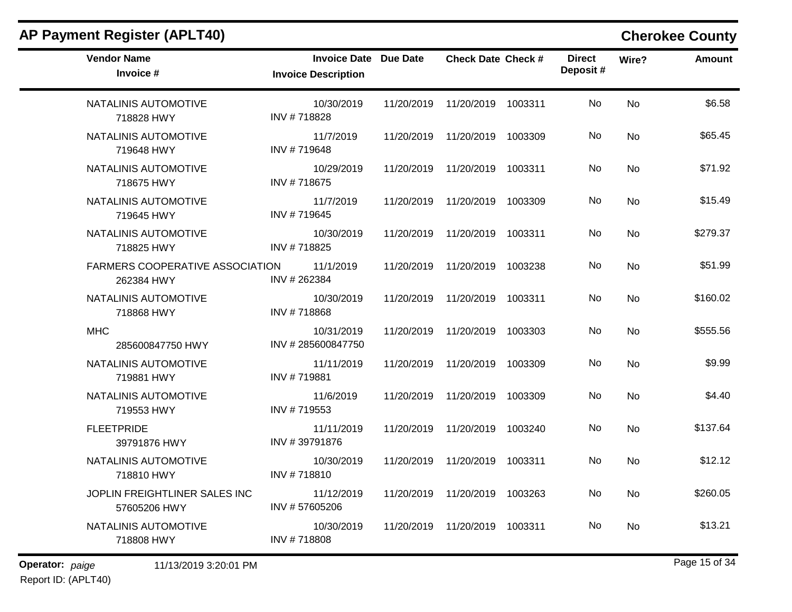| <b>AP Payment Register (APLT40)</b>           |                                                            |            |                                 |                           |           | <b>Cherokee County</b> |
|-----------------------------------------------|------------------------------------------------------------|------------|---------------------------------|---------------------------|-----------|------------------------|
| <b>Vendor Name</b><br>Invoice #               | <b>Invoice Date Due Date</b><br><b>Invoice Description</b> |            | <b>Check Date Check #</b>       | <b>Direct</b><br>Deposit# | Wire?     | Amount                 |
| NATALINIS AUTOMOTIVE<br>718828 HWY            | 10/30/2019<br>INV #718828                                  | 11/20/2019 | 11/20/2019 1003311              | No                        | <b>No</b> | \$6.58                 |
| NATALINIS AUTOMOTIVE<br>719648 HWY            | 11/7/2019<br>INV #719648                                   | 11/20/2019 | 11/20/2019 1003309              | No                        | No        | \$65.45                |
| NATALINIS AUTOMOTIVE<br>718675 HWY            | 10/29/2019<br>INV #718675                                  | 11/20/2019 | 11/20/2019 1003311              | No.                       | No        | \$71.92                |
| NATALINIS AUTOMOTIVE<br>719645 HWY            | 11/7/2019<br>INV #719645                                   | 11/20/2019 | 11/20/2019 1003309              | No                        | No        | \$15.49                |
| NATALINIS AUTOMOTIVE<br>718825 HWY            | 10/30/2019<br>INV #718825                                  | 11/20/2019 | 11/20/2019 1003311              | No                        | <b>No</b> | \$279.37               |
| FARMERS COOPERATIVE ASSOCIATION<br>262384 HWY | 11/1/2019<br>INV #262384                                   | 11/20/2019 | 11/20/2019 1003238              | No                        | No        | \$51.99                |
| NATALINIS AUTOMOTIVE<br>718868 HWY            | 10/30/2019<br>INV #718868                                  | 11/20/2019 | 11/20/2019 1003311              | No                        | No        | \$160.02               |
| <b>MHC</b><br>285600847750 HWY                | 10/31/2019<br>INV #285600847750                            | 11/20/2019 | 11/20/2019 1003303              | No                        | <b>No</b> | \$555.56               |
| NATALINIS AUTOMOTIVE<br>719881 HWY            | 11/11/2019<br>INV #719881                                  | 11/20/2019 | 11/20/2019 1003309              | No                        | <b>No</b> | \$9.99                 |
| NATALINIS AUTOMOTIVE<br>719553 HWY            | 11/6/2019<br>INV #719553                                   | 11/20/2019 | 11/20/2019 1003309              | No.                       | No        | \$4.40                 |
| <b>FLEETPRIDE</b><br>39791876 HWY             | 11/11/2019<br>INV #39791876                                | 11/20/2019 | 11/20/2019 1003240              | No                        | No        | \$137.64               |
| NATALINIS AUTOMOTIVE<br>718810 HWY            | 10/30/2019<br>INV #718810                                  | 11/20/2019 | 11/20/2019 1003311              | No                        | No        | \$12.12                |
| JOPLIN FREIGHTLINER SALES INC<br>57605206 HWY | 11/12/2019<br>INV #57605206                                |            | 11/20/2019  11/20/2019  1003263 | No                        | No        | \$260.05               |
| NATALINIS AUTOMOTIVE<br>718808 HWY            | 10/30/2019<br>INV #718808                                  |            | 11/20/2019  11/20/2019  1003311 | No                        | No        | \$13.21                |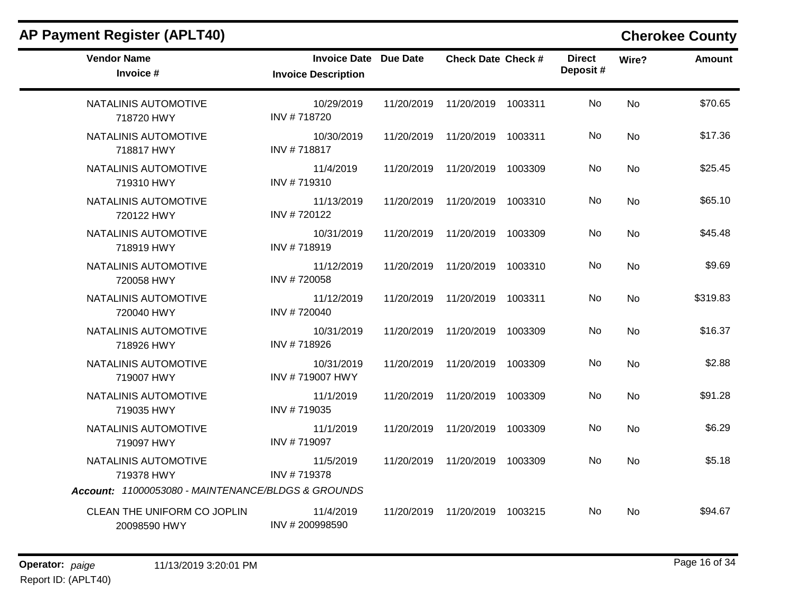| <b>AP Payment Register (APLT40)</b>                |                                                            |            |                           |         |                           |           | <b>Cherokee County</b> |
|----------------------------------------------------|------------------------------------------------------------|------------|---------------------------|---------|---------------------------|-----------|------------------------|
| <b>Vendor Name</b><br>Invoice #                    | <b>Invoice Date Due Date</b><br><b>Invoice Description</b> |            | <b>Check Date Check #</b> |         | <b>Direct</b><br>Deposit# | Wire?     | Amount                 |
| NATALINIS AUTOMOTIVE<br>718720 HWY                 | 10/29/2019<br>INV #718720                                  | 11/20/2019 | 11/20/2019                | 1003311 | No.                       | No        | \$70.65                |
| NATALINIS AUTOMOTIVE<br>718817 HWY                 | 10/30/2019<br>INV #718817                                  | 11/20/2019 | 11/20/2019                | 1003311 | No                        | <b>No</b> | \$17.36                |
| NATALINIS AUTOMOTIVE<br>719310 HWY                 | 11/4/2019<br>INV #719310                                   | 11/20/2019 | 11/20/2019                | 1003309 | No.                       | No        | \$25.45                |
| NATALINIS AUTOMOTIVE<br>720122 HWY                 | 11/13/2019<br>INV #720122                                  | 11/20/2019 | 11/20/2019                | 1003310 | No                        | <b>No</b> | \$65.10                |
| NATALINIS AUTOMOTIVE<br>718919 HWY                 | 10/31/2019<br>INV #718919                                  | 11/20/2019 | 11/20/2019                | 1003309 | No                        | <b>No</b> | \$45.48                |
| NATALINIS AUTOMOTIVE<br>720058 HWY                 | 11/12/2019<br>INV #720058                                  | 11/20/2019 | 11/20/2019                | 1003310 | No.                       | No.       | \$9.69                 |
| NATALINIS AUTOMOTIVE<br>720040 HWY                 | 11/12/2019<br>INV #720040                                  | 11/20/2019 | 11/20/2019                | 1003311 | No                        | No        | \$319.83               |
| NATALINIS AUTOMOTIVE<br>718926 HWY                 | 10/31/2019<br>INV #718926                                  | 11/20/2019 | 11/20/2019                | 1003309 | No.                       | <b>No</b> | \$16.37                |
| NATALINIS AUTOMOTIVE<br>719007 HWY                 | 10/31/2019<br>INV #719007 HWY                              | 11/20/2019 | 11/20/2019                | 1003309 | No.                       | No        | \$2.88                 |
| NATALINIS AUTOMOTIVE<br>719035 HWY                 | 11/1/2019<br>INV #719035                                   | 11/20/2019 | 11/20/2019                | 1003309 | No.                       | No        | \$91.28                |
| NATALINIS AUTOMOTIVE<br>719097 HWY                 | 11/1/2019<br>INV #719097                                   | 11/20/2019 | 11/20/2019                | 1003309 | No.                       | No.       | \$6.29                 |
| NATALINIS AUTOMOTIVE<br>719378 HWY                 | 11/5/2019<br>INV #719378                                   | 11/20/2019 | 11/20/2019                | 1003309 | No.                       | No        | \$5.18                 |
| Account: 11000053080 - MAINTENANCE/BLDGS & GROUNDS |                                                            |            |                           |         |                           |           |                        |
| CLEAN THE UNIFORM CO JOPLIN<br>20098590 HWY        | 11/4/2019<br>INV #200998590                                | 11/20/2019 | 11/20/2019                | 1003215 | No.                       | No        | \$94.67                |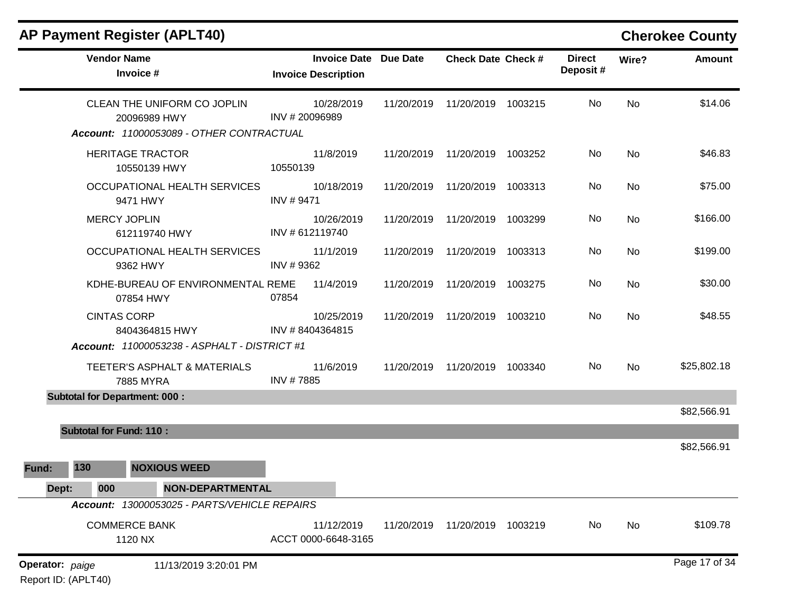|                 |                                | <b>AP Payment Register (APLT40)</b>                                                     |                                                            |            |                           |         |                           |           | <b>Cherokee County</b> |
|-----------------|--------------------------------|-----------------------------------------------------------------------------------------|------------------------------------------------------------|------------|---------------------------|---------|---------------------------|-----------|------------------------|
|                 | <b>Vendor Name</b>             | Invoice #                                                                               | <b>Invoice Date Due Date</b><br><b>Invoice Description</b> |            | <b>Check Date Check #</b> |         | <b>Direct</b><br>Deposit# | Wire?     | <b>Amount</b>          |
|                 |                                | CLEAN THE UNIFORM CO JOPLIN<br>20096989 HWY<br>Account: 11000053089 - OTHER CONTRACTUAL | 10/28/2019<br>INV #20096989                                | 11/20/2019 | 11/20/2019 1003215        |         | No                        | <b>No</b> | \$14.06                |
|                 |                                | <b>HERITAGE TRACTOR</b><br>10550139 HWY                                                 | 11/8/2019<br>10550139                                      | 11/20/2019 | 11/20/2019                | 1003252 | No                        | <b>No</b> | \$46.83                |
|                 |                                | OCCUPATIONAL HEALTH SERVICES<br>9471 HWY                                                | 10/18/2019<br>INV #9471                                    | 11/20/2019 | 11/20/2019                | 1003313 | No                        | <b>No</b> | \$75.00                |
|                 |                                | <b>MERCY JOPLIN</b><br>612119740 HWY                                                    | 10/26/2019<br>INV #612119740                               | 11/20/2019 | 11/20/2019                | 1003299 | No                        | No        | \$166.00               |
|                 |                                | OCCUPATIONAL HEALTH SERVICES<br>9362 HWY                                                | 11/1/2019<br>INV #9362                                     | 11/20/2019 | 11/20/2019                | 1003313 | No                        | <b>No</b> | \$199.00               |
|                 |                                | KDHE-BUREAU OF ENVIRONMENTAL REME<br>07854 HWY                                          | 11/4/2019<br>07854                                         | 11/20/2019 | 11/20/2019                | 1003275 | No                        | No        | \$30.00                |
|                 | <b>CINTAS CORP</b>             | 8404364815 HWY<br>Account: 11000053238 - ASPHALT - DISTRICT #1                          | 10/25/2019<br>INV #8404364815                              | 11/20/2019 | 11/20/2019                | 1003210 | No                        | No        | \$48.55                |
|                 |                                | TEETER'S ASPHALT & MATERIALS<br>7885 MYRA                                               | 11/6/2019<br>INV #7885                                     | 11/20/2019 | 11/20/2019 1003340        |         | No                        | <b>No</b> | \$25,802.18            |
|                 |                                | <b>Subtotal for Department: 000:</b>                                                    |                                                            |            |                           |         |                           |           | \$82,566.91            |
|                 | <b>Subtotal for Fund: 110:</b> |                                                                                         |                                                            |            |                           |         |                           |           |                        |
|                 |                                |                                                                                         |                                                            |            |                           |         |                           |           | \$82,566.91            |
| Fund:           | 130                            | <b>NOXIOUS WEED</b>                                                                     |                                                            |            |                           |         |                           |           |                        |
| Dept:           | 000                            | NON-DEPARTMENTAL                                                                        |                                                            |            |                           |         |                           |           |                        |
|                 |                                | Account: 13000053025 - PARTS/VEHICLE REPAIRS<br><b>COMMERCE BANK</b><br>1120 NX         | 11/12/2019<br>ACCT 0000-6648-3165                          | 11/20/2019 | 11/20/2019 1003219        |         | No                        | No        | \$109.78               |
| Operator: paige | Report ID: (APLT40)            | 11/13/2019 3:20:01 PM                                                                   |                                                            |            |                           |         |                           |           | Page 17 of 34          |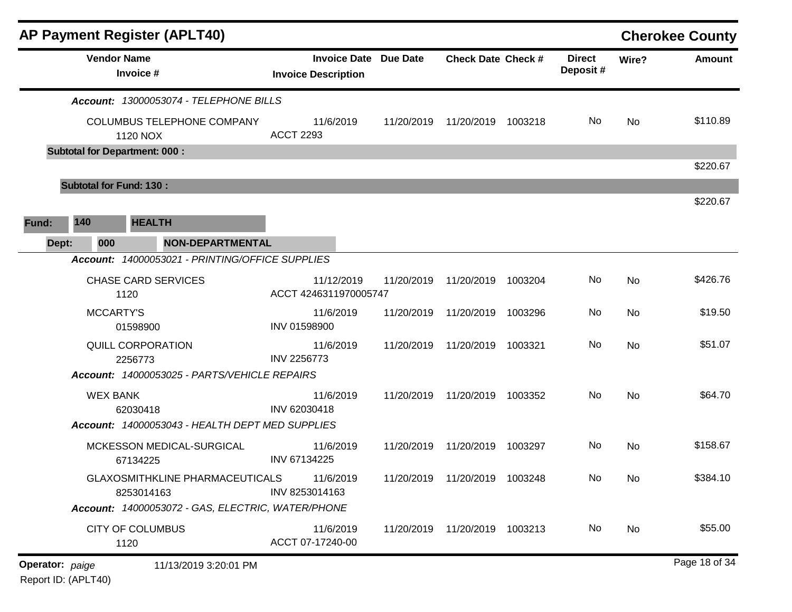| <b>AP Payment Register (APLT40)</b>                                          |                  |                                                            |            |                                 |         |                           |           | <b>Cherokee County</b> |
|------------------------------------------------------------------------------|------------------|------------------------------------------------------------|------------|---------------------------------|---------|---------------------------|-----------|------------------------|
| <b>Vendor Name</b><br>Invoice #                                              |                  | <b>Invoice Date Due Date</b><br><b>Invoice Description</b> |            | <b>Check Date Check #</b>       |         | <b>Direct</b><br>Deposit# | Wire?     | <b>Amount</b>          |
| Account: 13000053074 - TELEPHONE BILLS                                       |                  |                                                            |            |                                 |         |                           |           |                        |
| COLUMBUS TELEPHONE COMPANY<br>1120 NOX                                       | <b>ACCT 2293</b> | 11/6/2019                                                  | 11/20/2019 | 11/20/2019                      | 1003218 | No.                       | <b>No</b> | \$110.89               |
| <b>Subtotal for Department: 000:</b>                                         |                  |                                                            |            |                                 |         |                           |           |                        |
|                                                                              |                  |                                                            |            |                                 |         |                           |           | \$220.67               |
| <b>Subtotal for Fund: 130:</b>                                               |                  |                                                            |            |                                 |         |                           |           |                        |
|                                                                              |                  |                                                            |            |                                 |         |                           |           | \$220.67               |
| 140<br><b>HEALTH</b><br>Fund:                                                |                  |                                                            |            |                                 |         |                           |           |                        |
| <b>NON-DEPARTMENTAL</b><br>Dept:<br>000                                      |                  |                                                            |            |                                 |         |                           |           |                        |
| Account: 14000053021 - PRINTING/OFFICE SUPPLIES                              |                  |                                                            |            |                                 |         |                           |           |                        |
| <b>CHASE CARD SERVICES</b><br>1120                                           |                  | 11/12/2019<br>ACCT 4246311970005747                        | 11/20/2019 | 11/20/2019                      | 1003204 | No                        | <b>No</b> | \$426.76               |
| <b>MCCARTY'S</b><br>01598900                                                 | INV 01598900     | 11/6/2019                                                  | 11/20/2019 | 11/20/2019                      | 1003296 | No                        | <b>No</b> | \$19.50                |
| QUILL CORPORATION<br>2256773                                                 | INV 2256773      | 11/6/2019                                                  | 11/20/2019 | 11/20/2019                      | 1003321 | No                        | <b>No</b> | \$51.07                |
| Account: 14000053025 - PARTS/VEHICLE REPAIRS                                 |                  |                                                            |            |                                 |         |                           |           |                        |
| <b>WEX BANK</b><br>62030418                                                  | INV 62030418     | 11/6/2019                                                  | 11/20/2019 | 11/20/2019                      | 1003352 | No.                       | <b>No</b> | \$64.70                |
| Account: 14000053043 - HEALTH DEPT MED SUPPLIES<br>MCKESSON MEDICAL-SURGICAL |                  | 11/6/2019                                                  | 11/20/2019 | 11/20/2019                      | 1003297 | No                        | No        | \$158.67               |
| 67134225                                                                     | INV 67134225     |                                                            |            |                                 |         |                           |           |                        |
| <b>GLAXOSMITHKLINE PHARMACEUTICALS</b><br>8253014163                         | INV 8253014163   | 11/6/2019                                                  |            | 11/20/2019  11/20/2019  1003248 |         | No                        | No        | \$384.10               |
| Account: 14000053072 - GAS, ELECTRIC, WATER/PHONE                            |                  |                                                            |            |                                 |         |                           |           |                        |
| <b>CITY OF COLUMBUS</b><br>1120                                              |                  | 11/6/2019<br>ACCT 07-17240-00                              |            | 11/20/2019  11/20/2019  1003213 |         | No                        | No        | \$55.00                |
| Operator: paige<br>11/13/2019 3:20:01 PM                                     |                  |                                                            |            |                                 |         |                           |           | Page 18 of 34          |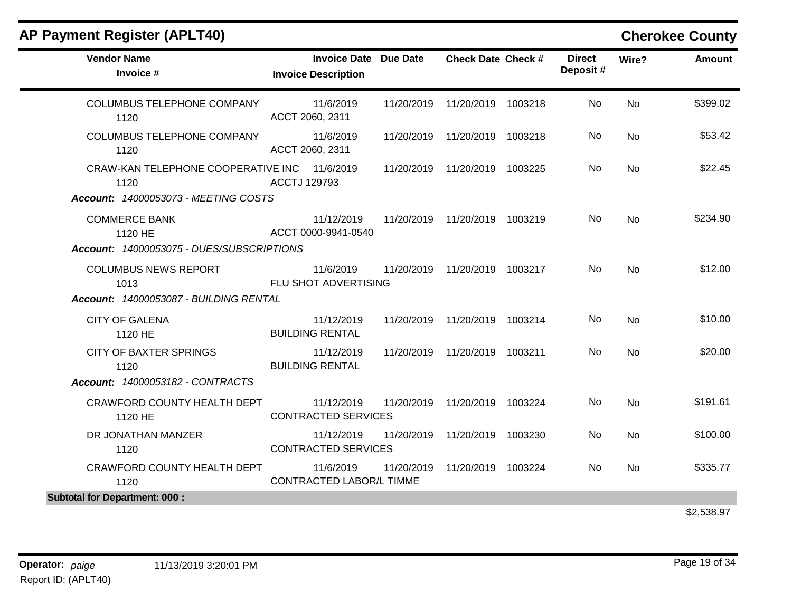| <b>Vendor Name</b><br><b>Invoice Date Due Date</b><br><b>Direct</b><br><b>Check Date Check #</b><br>Wire?<br>Deposit#<br>Invoice #<br><b>Invoice Description</b><br>11/6/2019<br>No<br><b>COLUMBUS TELEPHONE COMPANY</b><br>11/20/2019<br>11/20/2019 1003218<br><b>No</b><br>ACCT 2060, 2311<br>1120<br>COLUMBUS TELEPHONE COMPANY<br>11/6/2019<br>No<br>11/20/2019<br>11/20/2019 1003218<br><b>No</b><br>ACCT 2060, 2311<br>1120<br>CRAW-KAN TELEPHONE COOPERATIVE INC 11/6/2019<br>11/20/2019<br>11/20/2019 1003225<br>No.<br><b>No</b><br><b>ACCTJ 129793</b><br>1120<br>Account: 14000053073 - MEETING COSTS<br><b>COMMERCE BANK</b><br>No.<br>11/12/2019<br>11/20/2019  11/20/2019  1003219<br><b>No</b><br>ACCT 0000-9941-0540<br>1120 HE<br>Account: 14000053075 - DUES/SUBSCRIPTIONS<br><b>COLUMBUS NEWS REPORT</b><br>11/6/2019<br>11/20/2019  11/20/2019  1003217<br>No.<br>No.<br>FLU SHOT ADVERTISING<br>1013<br>Account: 14000053087 - BUILDING RENTAL<br><b>CITY OF GALENA</b><br>11/12/2019<br>11/20/2019  11/20/2019  1003214<br>No.<br><b>No</b><br><b>BUILDING RENTAL</b><br>1120 HE<br><b>CITY OF BAXTER SPRINGS</b><br>No<br>11/12/2019<br>11/20/2019<br>11/20/2019 1003211<br><b>No</b><br><b>BUILDING RENTAL</b><br>1120<br>Account: 14000053182 - CONTRACTS<br>CRAWFORD COUNTY HEALTH DEPT<br>No<br>11/12/2019<br>11/20/2019<br>11/20/2019 1003224<br><b>No</b><br><b>CONTRACTED SERVICES</b><br>1120 HE<br>DR JONATHAN MANZER<br>No<br>11/12/2019<br>11/20/2019<br>11/20/2019 1003230<br>No<br><b>CONTRACTED SERVICES</b><br>1120<br>CRAWFORD COUNTY HEALTH DEPT<br>11/6/2019<br>11/20/2019 1003224<br>No<br><b>No</b><br>11/20/2019<br><b>CONTRACTED LABOR/L TIMME</b><br>1120<br><b>Subtotal for Department: 000:</b> | <b>AP Payment Register (APLT40)</b> |  |  |  | <b>Cherokee County</b> |
|-------------------------------------------------------------------------------------------------------------------------------------------------------------------------------------------------------------------------------------------------------------------------------------------------------------------------------------------------------------------------------------------------------------------------------------------------------------------------------------------------------------------------------------------------------------------------------------------------------------------------------------------------------------------------------------------------------------------------------------------------------------------------------------------------------------------------------------------------------------------------------------------------------------------------------------------------------------------------------------------------------------------------------------------------------------------------------------------------------------------------------------------------------------------------------------------------------------------------------------------------------------------------------------------------------------------------------------------------------------------------------------------------------------------------------------------------------------------------------------------------------------------------------------------------------------------------------------------------------------------------------------------------------------------------------------------------------------------------------------------------|-------------------------------------|--|--|--|------------------------|
|                                                                                                                                                                                                                                                                                                                                                                                                                                                                                                                                                                                                                                                                                                                                                                                                                                                                                                                                                                                                                                                                                                                                                                                                                                                                                                                                                                                                                                                                                                                                                                                                                                                                                                                                                 |                                     |  |  |  | <b>Amount</b>          |
|                                                                                                                                                                                                                                                                                                                                                                                                                                                                                                                                                                                                                                                                                                                                                                                                                                                                                                                                                                                                                                                                                                                                                                                                                                                                                                                                                                                                                                                                                                                                                                                                                                                                                                                                                 |                                     |  |  |  | \$399.02               |
|                                                                                                                                                                                                                                                                                                                                                                                                                                                                                                                                                                                                                                                                                                                                                                                                                                                                                                                                                                                                                                                                                                                                                                                                                                                                                                                                                                                                                                                                                                                                                                                                                                                                                                                                                 |                                     |  |  |  | \$53.42                |
|                                                                                                                                                                                                                                                                                                                                                                                                                                                                                                                                                                                                                                                                                                                                                                                                                                                                                                                                                                                                                                                                                                                                                                                                                                                                                                                                                                                                                                                                                                                                                                                                                                                                                                                                                 |                                     |  |  |  | \$22.45                |
|                                                                                                                                                                                                                                                                                                                                                                                                                                                                                                                                                                                                                                                                                                                                                                                                                                                                                                                                                                                                                                                                                                                                                                                                                                                                                                                                                                                                                                                                                                                                                                                                                                                                                                                                                 |                                     |  |  |  |                        |
|                                                                                                                                                                                                                                                                                                                                                                                                                                                                                                                                                                                                                                                                                                                                                                                                                                                                                                                                                                                                                                                                                                                                                                                                                                                                                                                                                                                                                                                                                                                                                                                                                                                                                                                                                 |                                     |  |  |  | \$234.90               |
|                                                                                                                                                                                                                                                                                                                                                                                                                                                                                                                                                                                                                                                                                                                                                                                                                                                                                                                                                                                                                                                                                                                                                                                                                                                                                                                                                                                                                                                                                                                                                                                                                                                                                                                                                 |                                     |  |  |  |                        |
|                                                                                                                                                                                                                                                                                                                                                                                                                                                                                                                                                                                                                                                                                                                                                                                                                                                                                                                                                                                                                                                                                                                                                                                                                                                                                                                                                                                                                                                                                                                                                                                                                                                                                                                                                 |                                     |  |  |  | \$12.00                |
|                                                                                                                                                                                                                                                                                                                                                                                                                                                                                                                                                                                                                                                                                                                                                                                                                                                                                                                                                                                                                                                                                                                                                                                                                                                                                                                                                                                                                                                                                                                                                                                                                                                                                                                                                 |                                     |  |  |  |                        |
|                                                                                                                                                                                                                                                                                                                                                                                                                                                                                                                                                                                                                                                                                                                                                                                                                                                                                                                                                                                                                                                                                                                                                                                                                                                                                                                                                                                                                                                                                                                                                                                                                                                                                                                                                 |                                     |  |  |  | \$10.00                |
|                                                                                                                                                                                                                                                                                                                                                                                                                                                                                                                                                                                                                                                                                                                                                                                                                                                                                                                                                                                                                                                                                                                                                                                                                                                                                                                                                                                                                                                                                                                                                                                                                                                                                                                                                 |                                     |  |  |  | \$20.00                |
|                                                                                                                                                                                                                                                                                                                                                                                                                                                                                                                                                                                                                                                                                                                                                                                                                                                                                                                                                                                                                                                                                                                                                                                                                                                                                                                                                                                                                                                                                                                                                                                                                                                                                                                                                 |                                     |  |  |  |                        |
|                                                                                                                                                                                                                                                                                                                                                                                                                                                                                                                                                                                                                                                                                                                                                                                                                                                                                                                                                                                                                                                                                                                                                                                                                                                                                                                                                                                                                                                                                                                                                                                                                                                                                                                                                 |                                     |  |  |  | \$191.61               |
|                                                                                                                                                                                                                                                                                                                                                                                                                                                                                                                                                                                                                                                                                                                                                                                                                                                                                                                                                                                                                                                                                                                                                                                                                                                                                                                                                                                                                                                                                                                                                                                                                                                                                                                                                 |                                     |  |  |  | \$100.00               |
|                                                                                                                                                                                                                                                                                                                                                                                                                                                                                                                                                                                                                                                                                                                                                                                                                                                                                                                                                                                                                                                                                                                                                                                                                                                                                                                                                                                                                                                                                                                                                                                                                                                                                                                                                 |                                     |  |  |  | \$335.77               |
|                                                                                                                                                                                                                                                                                                                                                                                                                                                                                                                                                                                                                                                                                                                                                                                                                                                                                                                                                                                                                                                                                                                                                                                                                                                                                                                                                                                                                                                                                                                                                                                                                                                                                                                                                 |                                     |  |  |  |                        |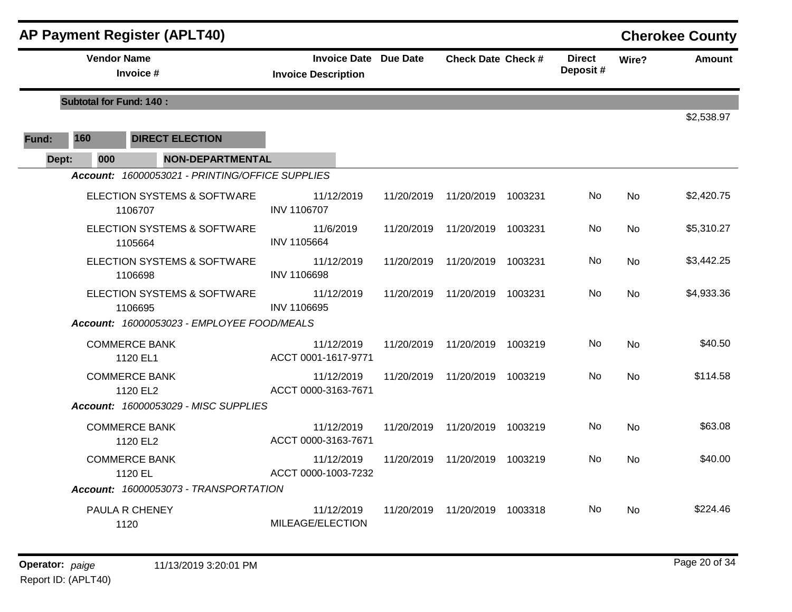|       |                                | <b>AP Payment Register (APLT40)</b>             |                                                            |            |                                 |         |                           |           | <b>Cherokee County</b> |
|-------|--------------------------------|-------------------------------------------------|------------------------------------------------------------|------------|---------------------------------|---------|---------------------------|-----------|------------------------|
|       | <b>Vendor Name</b>             | Invoice #                                       | <b>Invoice Date Due Date</b><br><b>Invoice Description</b> |            | <b>Check Date Check #</b>       |         | <b>Direct</b><br>Deposit# | Wire?     | <b>Amount</b>          |
|       | <b>Subtotal for Fund: 140:</b> |                                                 |                                                            |            |                                 |         |                           |           |                        |
|       |                                |                                                 |                                                            |            |                                 |         |                           |           | \$2,538.97             |
| Fund: | 160                            | <b>DIRECT ELECTION</b>                          |                                                            |            |                                 |         |                           |           |                        |
| Dept: | 000                            | <b>NON-DEPARTMENTAL</b>                         |                                                            |            |                                 |         |                           |           |                        |
|       |                                | Account: 16000053021 - PRINTING/OFFICE SUPPLIES |                                                            |            |                                 |         |                           |           |                        |
|       |                                | ELECTION SYSTEMS & SOFTWARE<br>1106707          | 11/12/2019<br><b>INV 1106707</b>                           | 11/20/2019 | 11/20/2019                      | 1003231 | No.                       | <b>No</b> | \$2,420.75             |
|       |                                | ELECTION SYSTEMS & SOFTWARE<br>1105664          | 11/6/2019<br>INV 1105664                                   | 11/20/2019 | 11/20/2019                      | 1003231 | No.                       | No.       | \$5,310.27             |
|       |                                | ELECTION SYSTEMS & SOFTWARE<br>1106698          | 11/12/2019<br><b>INV 1106698</b>                           | 11/20/2019 | 11/20/2019                      | 1003231 | No                        | <b>No</b> | \$3,442.25             |
|       |                                | ELECTION SYSTEMS & SOFTWARE<br>1106695          | 11/12/2019<br>INV 1106695                                  |            | 11/20/2019  11/20/2019  1003231 |         | No.                       | <b>No</b> | \$4,933.36             |
|       |                                | Account: 16000053023 - EMPLOYEE FOOD/MEALS      |                                                            |            |                                 |         |                           |           |                        |
|       |                                | <b>COMMERCE BANK</b><br>1120 EL1                | 11/12/2019<br>ACCT 0001-1617-9771                          |            | 11/20/2019  11/20/2019  1003219 |         | No.                       | <b>No</b> | \$40.50                |
|       |                                | <b>COMMERCE BANK</b><br>1120 EL2                | 11/12/2019<br>ACCT 0000-3163-7671                          |            | 11/20/2019 11/20/2019           | 1003219 | No.                       | <b>No</b> | \$114.58               |
|       |                                | Account: 16000053029 - MISC SUPPLIES            |                                                            |            |                                 |         |                           |           |                        |
|       |                                | <b>COMMERCE BANK</b><br>1120 EL2                | 11/12/2019<br>ACCT 0000-3163-7671                          | 11/20/2019 | 11/20/2019 1003219              |         | No.                       | <b>No</b> | \$63.08                |
|       |                                | <b>COMMERCE BANK</b><br>1120 EL                 | 11/12/2019<br>ACCT 0000-1003-7232                          |            | 11/20/2019  11/20/2019  1003219 |         | No                        | No.       | \$40.00                |
|       |                                | Account: 16000053073 - TRANSPORTATION           |                                                            |            |                                 |         |                           |           |                        |
|       |                                | PAULA R CHENEY<br>1120                          | 11/12/2019<br>MILEAGE/ELECTION                             | 11/20/2019 | 11/20/2019                      | 1003318 | No.                       | No        | \$224.46               |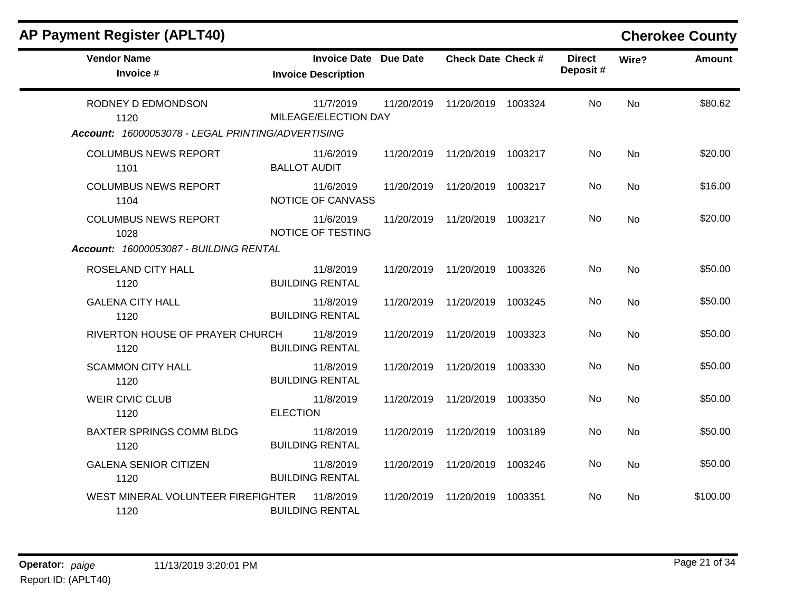| <b>AP Payment Register (APLT40)</b>                                             |                                                            |            |                                 |         |                           |           | <b>Cherokee County</b> |
|---------------------------------------------------------------------------------|------------------------------------------------------------|------------|---------------------------------|---------|---------------------------|-----------|------------------------|
| <b>Vendor Name</b><br>Invoice #                                                 | <b>Invoice Date Due Date</b><br><b>Invoice Description</b> |            | <b>Check Date Check #</b>       |         | <b>Direct</b><br>Deposit# | Wire?     | <b>Amount</b>          |
| RODNEY D EDMONDSON<br>1120<br>Account: 16000053078 - LEGAL PRINTING/ADVERTISING | 11/7/2019<br>MILEAGE/ELECTION DAY                          | 11/20/2019 | 11/20/2019 1003324              |         | No.                       | <b>No</b> | \$80.62                |
| <b>COLUMBUS NEWS REPORT</b><br>1101                                             | 11/6/2019<br><b>BALLOT AUDIT</b>                           |            | 11/20/2019  11/20/2019  1003217 |         | No.                       | <b>No</b> | \$20.00                |
| <b>COLUMBUS NEWS REPORT</b><br>1104                                             | 11/6/2019<br>NOTICE OF CANVASS                             | 11/20/2019 | 11/20/2019 1003217              |         | No                        | <b>No</b> | \$16.00                |
| <b>COLUMBUS NEWS REPORT</b><br>1028                                             | 11/6/2019<br>NOTICE OF TESTING                             |            | 11/20/2019  11/20/2019  1003217 |         | No.                       | <b>No</b> | \$20.00                |
| Account: 16000053087 - BUILDING RENTAL                                          |                                                            |            |                                 |         |                           |           |                        |
| ROSELAND CITY HALL<br>1120                                                      | 11/8/2019<br><b>BUILDING RENTAL</b>                        | 11/20/2019 | 11/20/2019 1003326              |         | <b>No</b>                 | <b>No</b> | \$50.00                |
| <b>GALENA CITY HALL</b><br>1120                                                 | 11/8/2019<br><b>BUILDING RENTAL</b>                        | 11/20/2019 | 11/20/2019                      | 1003245 | No.                       | <b>No</b> | \$50.00                |
| RIVERTON HOUSE OF PRAYER CHURCH<br>1120                                         | 11/8/2019<br><b>BUILDING RENTAL</b>                        | 11/20/2019 | 11/20/2019                      | 1003323 | No.                       | <b>No</b> | \$50.00                |
| <b>SCAMMON CITY HALL</b><br>1120                                                | 11/8/2019<br><b>BUILDING RENTAL</b>                        | 11/20/2019 | 11/20/2019                      | 1003330 | No                        | <b>No</b> | \$50.00                |
| <b>WEIR CIVIC CLUB</b><br>1120                                                  | 11/8/2019<br><b>ELECTION</b>                               | 11/20/2019 | 11/20/2019 1003350              |         | No                        | <b>No</b> | \$50.00                |
| <b>BAXTER SPRINGS COMM BLDG</b><br>1120                                         | 11/8/2019<br><b>BUILDING RENTAL</b>                        | 11/20/2019 | 11/20/2019 1003189              |         | No                        | <b>No</b> | \$50.00                |
| <b>GALENA SENIOR CITIZEN</b><br>1120                                            | 11/8/2019<br><b>BUILDING RENTAL</b>                        | 11/20/2019 | 11/20/2019 1003246              |         | No                        | <b>No</b> | \$50.00                |
| WEST MINERAL VOLUNTEER FIREFIGHTER<br>1120                                      | 11/8/2019<br><b>BUILDING RENTAL</b>                        | 11/20/2019 | 11/20/2019 1003351              |         | No.                       | No.       | \$100.00               |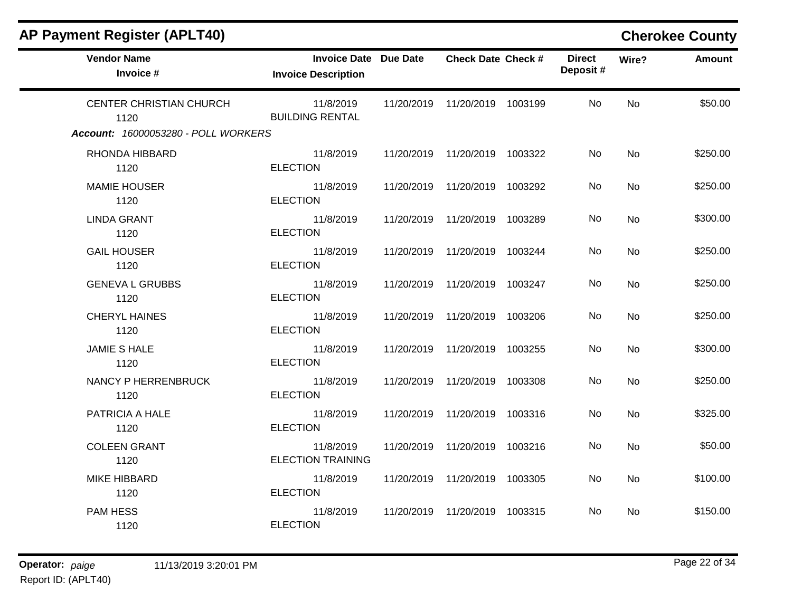| <b>Vendor Name</b><br>Invoice #     | Invoice Date Due Date<br><b>Invoice Description</b> | <b>Check Date Check #</b>       | <b>Direct</b><br>Deposit# | Wire?     | <b>Amount</b> |
|-------------------------------------|-----------------------------------------------------|---------------------------------|---------------------------|-----------|---------------|
| CENTER CHRISTIAN CHURCH<br>1120     | 11/8/2019<br><b>BUILDING RENTAL</b>                 | 11/20/2019  11/20/2019  1003199 | No.                       | No        | \$50.00       |
| Account: 16000053280 - POLL WORKERS |                                                     |                                 |                           |           |               |
| RHONDA HIBBARD<br>1120              | 11/8/2019<br><b>ELECTION</b>                        | 11/20/2019  11/20/2019  1003322 | No                        | No        | \$250.00      |
| <b>MAMIE HOUSER</b><br>1120         | 11/8/2019<br><b>ELECTION</b>                        | 11/20/2019  11/20/2019  1003292 | No.                       | No        | \$250.00      |
| <b>LINDA GRANT</b><br>1120          | 11/8/2019<br><b>ELECTION</b>                        | 11/20/2019  11/20/2019  1003289 | No                        | No        | \$300.00      |
| <b>GAIL HOUSER</b><br>1120          | 11/8/2019<br><b>ELECTION</b>                        | 11/20/2019  11/20/2019  1003244 | No.                       | No.       | \$250.00      |
| <b>GENEVA L GRUBBS</b><br>1120      | 11/8/2019<br><b>ELECTION</b>                        | 11/20/2019  11/20/2019  1003247 | <b>No</b>                 | <b>No</b> | \$250.00      |
| <b>CHERYL HAINES</b><br>1120        | 11/8/2019<br><b>ELECTION</b>                        | 11/20/2019  11/20/2019  1003206 | No.                       | <b>No</b> | \$250.00      |
| <b>JAMIE S HALE</b><br>1120         | 11/8/2019<br><b>ELECTION</b>                        | 11/20/2019  11/20/2019  1003255 | No.                       | <b>No</b> | \$300.00      |
| NANCY P HERRENBRUCK<br>1120         | 11/8/2019<br><b>ELECTION</b>                        | 11/20/2019  11/20/2019  1003308 | No.                       | <b>No</b> | \$250.00      |
| PATRICIA A HALE<br>1120             | 11/8/2019<br><b>ELECTION</b>                        | 11/20/2019  11/20/2019  1003316 | No                        | No        | \$325.00      |
| <b>COLEEN GRANT</b><br>1120         | 11/8/2019<br><b>ELECTION TRAINING</b>               | 11/20/2019  11/20/2019  1003216 | No.                       | No        | \$50.00       |
| <b>MIKE HIBBARD</b><br>1120         | 11/8/2019<br><b>ELECTION</b>                        | 11/20/2019  11/20/2019  1003305 | No.                       | No        | \$100.00      |
| <b>PAM HESS</b><br>1120             | 11/8/2019<br><b>ELECTION</b>                        | 11/20/2019  11/20/2019  1003315 | No.                       | No.       | \$150.00      |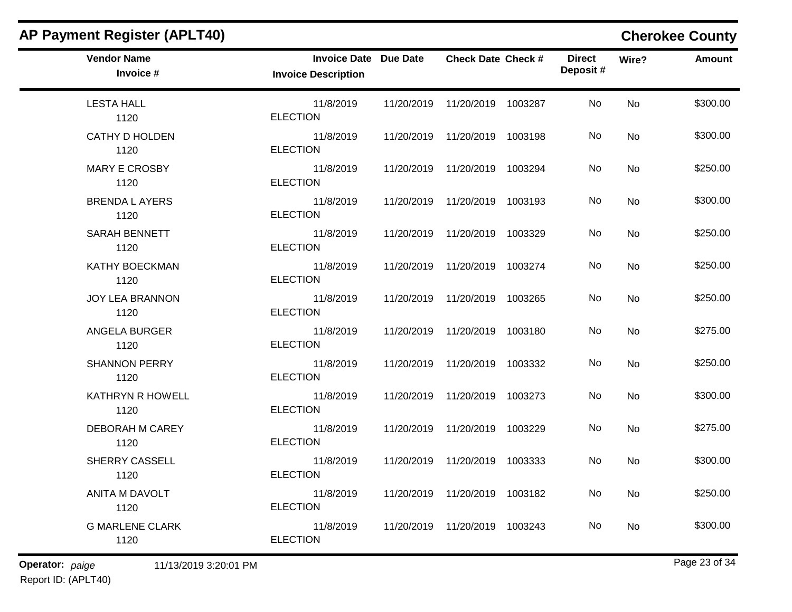| <b>Vendor Name</b><br>Invoice # | <b>Invoice Date Due Date</b><br><b>Invoice Description</b> | <b>Check Date Check #</b>       | <b>Direct</b><br>Deposit# | Wire?     | <b>Amount</b> |
|---------------------------------|------------------------------------------------------------|---------------------------------|---------------------------|-----------|---------------|
| <b>LESTA HALL</b><br>1120       | 11/8/2019<br><b>ELECTION</b>                               | 11/20/2019  11/20/2019  1003287 | No                        | <b>No</b> | \$300.00      |
| <b>CATHY D HOLDEN</b><br>1120   | 11/8/2019<br><b>ELECTION</b>                               | 11/20/2019  11/20/2019  1003198 | No.                       | No.       | \$300.00      |
| <b>MARY E CROSBY</b><br>1120    | 11/8/2019<br><b>ELECTION</b>                               | 11/20/2019  11/20/2019  1003294 | <b>No</b>                 | No        | \$250.00      |
| <b>BRENDA L AYERS</b><br>1120   | 11/8/2019<br><b>ELECTION</b>                               | 11/20/2019  11/20/2019  1003193 | No                        | No        | \$300.00      |
| <b>SARAH BENNETT</b><br>1120    | 11/8/2019<br><b>ELECTION</b>                               | 11/20/2019  11/20/2019  1003329 | No                        | No        | \$250.00      |
| <b>KATHY BOECKMAN</b><br>1120   | 11/8/2019<br><b>ELECTION</b>                               | 11/20/2019  11/20/2019  1003274 | No.                       | <b>No</b> | \$250.00      |
| JOY LEA BRANNON<br>1120         | 11/8/2019<br><b>ELECTION</b>                               | 11/20/2019  11/20/2019  1003265 | No.                       | No.       | \$250.00      |
| <b>ANGELA BURGER</b><br>1120    | 11/8/2019<br><b>ELECTION</b>                               | 11/20/2019  11/20/2019  1003180 | No                        | <b>No</b> | \$275.00      |
| <b>SHANNON PERRY</b><br>1120    | 11/8/2019<br><b>ELECTION</b>                               | 11/20/2019  11/20/2019  1003332 | No                        | <b>No</b> | \$250.00      |
| <b>KATHRYN R HOWELL</b><br>1120 | 11/8/2019<br><b>ELECTION</b>                               | 11/20/2019  11/20/2019  1003273 | No                        | No        | \$300.00      |
| <b>DEBORAH M CAREY</b><br>1120  | 11/8/2019<br><b>ELECTION</b>                               | 11/20/2019  11/20/2019  1003229 | No.                       | No        | \$275.00      |
| SHERRY CASSELL<br>1120          | 11/8/2019<br><b>ELECTION</b>                               | 11/20/2019  11/20/2019  1003333 | No.                       | <b>No</b> | \$300.00      |
| ANITA M DAVOLT<br>1120          | 11/8/2019<br><b>ELECTION</b>                               | 11/20/2019  11/20/2019  1003182 | No.                       | No        | \$250.00      |
| <b>G MARLENE CLARK</b><br>1120  | 11/8/2019<br><b>ELECTION</b>                               | 11/20/2019  11/20/2019  1003243 | No                        | <b>No</b> | \$300.00      |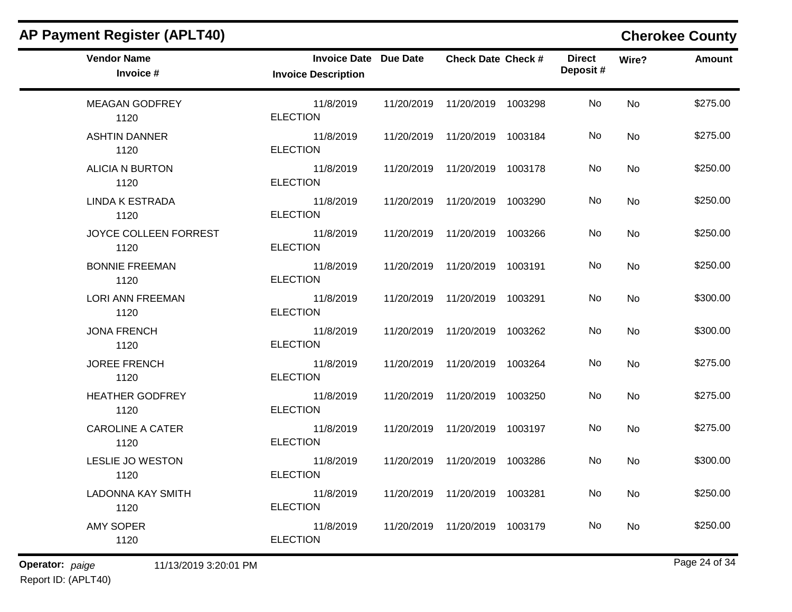| <b>Vendor Name</b><br>Invoice #  | <b>Invoice Date Due Date</b><br><b>Invoice Description</b> | <b>Check Date Check #</b>       | <b>Direct</b><br>Deposit# | Wire?     | <b>Amount</b> |
|----------------------------------|------------------------------------------------------------|---------------------------------|---------------------------|-----------|---------------|
| <b>MEAGAN GODFREY</b><br>1120    | 11/8/2019<br><b>ELECTION</b>                               | 11/20/2019  11/20/2019  1003298 | No                        | <b>No</b> | \$275.00      |
| <b>ASHTIN DANNER</b><br>1120     | 11/8/2019<br><b>ELECTION</b>                               | 11/20/2019  11/20/2019  1003184 | No.                       | No.       | \$275.00      |
| <b>ALICIA N BURTON</b><br>1120   | 11/8/2019<br><b>ELECTION</b>                               | 11/20/2019  11/20/2019  1003178 | No                        | No        | \$250.00      |
| <b>LINDA K ESTRADA</b><br>1120   | 11/8/2019<br><b>ELECTION</b>                               | 11/20/2019  11/20/2019  1003290 | No                        | No        | \$250.00      |
| JOYCE COLLEEN FORREST<br>1120    | 11/8/2019<br><b>ELECTION</b>                               | 11/20/2019  11/20/2019  1003266 | No                        | No        | \$250.00      |
| <b>BONNIE FREEMAN</b><br>1120    | 11/8/2019<br><b>ELECTION</b>                               | 11/20/2019  11/20/2019  1003191 | No.                       | <b>No</b> | \$250.00      |
| <b>LORI ANN FREEMAN</b><br>1120  | 11/8/2019<br><b>ELECTION</b>                               | 11/20/2019  11/20/2019  1003291 | No.                       | No.       | \$300.00      |
| <b>JONA FRENCH</b><br>1120       | 11/8/2019<br><b>ELECTION</b>                               | 11/20/2019  11/20/2019  1003262 | No                        | <b>No</b> | \$300.00      |
| <b>JOREE FRENCH</b><br>1120      | 11/8/2019<br><b>ELECTION</b>                               | 11/20/2019  11/20/2019  1003264 | No                        | <b>No</b> | \$275.00      |
| <b>HEATHER GODFREY</b><br>1120   | 11/8/2019<br><b>ELECTION</b>                               | 11/20/2019  11/20/2019  1003250 | No                        | No        | \$275.00      |
| <b>CAROLINE A CATER</b><br>1120  | 11/8/2019<br><b>ELECTION</b>                               | 11/20/2019  11/20/2019  1003197 | No.                       | No        | \$275.00      |
| LESLIE JO WESTON<br>1120         | 11/8/2019<br><b>ELECTION</b>                               | 11/20/2019  11/20/2019  1003286 | No.                       | <b>No</b> | \$300.00      |
| <b>LADONNA KAY SMITH</b><br>1120 | 11/8/2019<br><b>ELECTION</b>                               | 11/20/2019  11/20/2019  1003281 | No.                       | No        | \$250.00      |
| <b>AMY SOPER</b><br>1120         | 11/8/2019<br><b>ELECTION</b>                               | 11/20/2019  11/20/2019  1003179 | No                        | <b>No</b> | \$250.00      |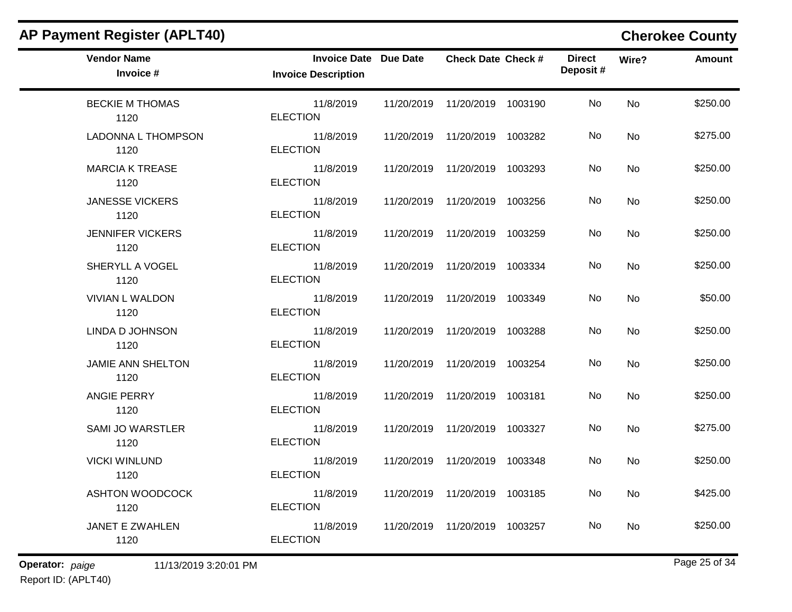| <b>Vendor Name</b><br>Invoice #  | <b>Invoice Date Due Date</b><br><b>Invoice Description</b> | <b>Check Date Check #</b>       | <b>Direct</b><br>Deposit# | Wire?     | <b>Amount</b> |
|----------------------------------|------------------------------------------------------------|---------------------------------|---------------------------|-----------|---------------|
| <b>BECKIE M THOMAS</b><br>1120   | 11/8/2019<br><b>ELECTION</b>                               | 11/20/2019  11/20/2019  1003190 | No                        | <b>No</b> | \$250.00      |
| LADONNA L THOMPSON<br>1120       | 11/8/2019<br><b>ELECTION</b>                               | 11/20/2019  11/20/2019  1003282 | No.                       | No.       | \$275.00      |
| <b>MARCIA K TREASE</b><br>1120   | 11/8/2019<br><b>ELECTION</b>                               | 11/20/2019  11/20/2019  1003293 | No.                       | <b>No</b> | \$250.00      |
| <b>JANESSE VICKERS</b><br>1120   | 11/8/2019<br><b>ELECTION</b>                               | 11/20/2019  11/20/2019  1003256 | No.                       | No.       | \$250.00      |
| <b>JENNIFER VICKERS</b><br>1120  | 11/8/2019<br><b>ELECTION</b>                               | 11/20/2019  11/20/2019  1003259 | No.                       | No        | \$250.00      |
| SHERYLL A VOGEL<br>1120          | 11/8/2019<br><b>ELECTION</b>                               | 11/20/2019  11/20/2019  1003334 | No                        | <b>No</b> | \$250.00      |
| <b>VIVIAN L WALDON</b><br>1120   | 11/8/2019<br><b>ELECTION</b>                               | 11/20/2019  11/20/2019  1003349 | No                        | <b>No</b> | \$50.00       |
| LINDA D JOHNSON<br>1120          | 11/8/2019<br><b>ELECTION</b>                               | 11/20/2019  11/20/2019  1003288 | No.                       | No        | \$250.00      |
| <b>JAMIE ANN SHELTON</b><br>1120 | 11/8/2019<br><b>ELECTION</b>                               | 11/20/2019  11/20/2019  1003254 | No                        | No        | \$250.00      |
| ANGIE PERRY<br>1120              | 11/8/2019<br><b>ELECTION</b>                               | 11/20/2019  11/20/2019  1003181 | No                        | No        | \$250.00      |
| <b>SAMI JO WARSTLER</b><br>1120  | 11/8/2019<br><b>ELECTION</b>                               | 11/20/2019  11/20/2019  1003327 | No                        | No        | \$275.00      |
| <b>VICKI WINLUND</b><br>1120     | 11/8/2019<br><b>ELECTION</b>                               | 11/20/2019  11/20/2019  1003348 | No                        | No        | \$250.00      |
| ASHTON WOODCOCK<br>1120          | 11/8/2019<br><b>ELECTION</b>                               | 11/20/2019  11/20/2019  1003185 | No                        | No        | \$425.00      |
| JANET E ZWAHLEN<br>1120          | 11/8/2019<br><b>ELECTION</b>                               | 11/20/2019  11/20/2019  1003257 | No                        | No        | \$250.00      |

**Operator:** paige 11/13/2019 3:20:01 PM Report ID: (APLT40)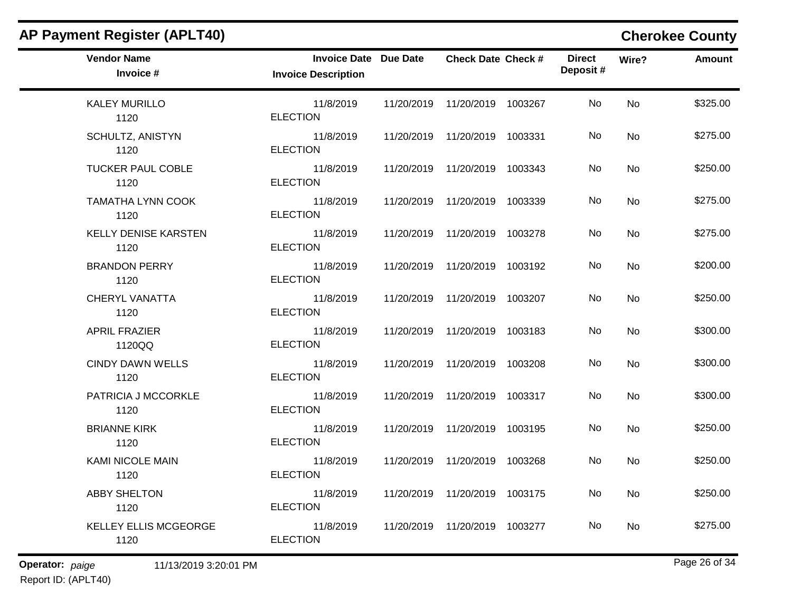| <b>AP Payment Register (APLT40)</b>  |                                                            |            |                                 |         |                           |           | <b>Cherokee County</b> |
|--------------------------------------|------------------------------------------------------------|------------|---------------------------------|---------|---------------------------|-----------|------------------------|
| <b>Vendor Name</b><br>Invoice #      | <b>Invoice Date Due Date</b><br><b>Invoice Description</b> |            | <b>Check Date Check #</b>       |         | <b>Direct</b><br>Deposit# | Wire?     | <b>Amount</b>          |
| <b>KALEY MURILLO</b><br>1120         | 11/8/2019<br><b>ELECTION</b>                               | 11/20/2019 | 11/20/2019 1003267              |         | No                        | <b>No</b> | \$325.00               |
| <b>SCHULTZ, ANISTYN</b><br>1120      | 11/8/2019<br><b>ELECTION</b>                               | 11/20/2019 | 11/20/2019 1003331              |         | No                        | No        | \$275.00               |
| <b>TUCKER PAUL COBLE</b><br>1120     | 11/8/2019<br><b>ELECTION</b>                               | 11/20/2019 | 11/20/2019 1003343              |         | No                        | No        | \$250.00               |
| <b>TAMATHA LYNN COOK</b><br>1120     | 11/8/2019<br><b>ELECTION</b>                               | 11/20/2019 | 11/20/2019                      | 1003339 | No                        | <b>No</b> | \$275.00               |
| <b>KELLY DENISE KARSTEN</b><br>1120  | 11/8/2019<br><b>ELECTION</b>                               | 11/20/2019 | 11/20/2019                      | 1003278 | No                        | <b>No</b> | \$275.00               |
| <b>BRANDON PERRY</b><br>1120         | 11/8/2019<br><b>ELECTION</b>                               | 11/20/2019 | 11/20/2019 1003192              |         | No                        | No        | \$200.00               |
| <b>CHERYL VANATTA</b><br>1120        | 11/8/2019<br><b>ELECTION</b>                               | 11/20/2019 | 11/20/2019 1003207              |         | No                        | No        | \$250.00               |
| <b>APRIL FRAZIER</b><br>1120QQ       | 11/8/2019<br><b>ELECTION</b>                               | 11/20/2019 | 11/20/2019                      | 1003183 | No                        | <b>No</b> | \$300.00               |
| <b>CINDY DAWN WELLS</b><br>1120      | 11/8/2019<br><b>ELECTION</b>                               | 11/20/2019 | 11/20/2019                      | 1003208 | No                        | No        | \$300.00               |
| PATRICIA J MCCORKLE<br>1120          | 11/8/2019<br><b>ELECTION</b>                               | 11/20/2019 | 11/20/2019 1003317              |         | No                        | No        | \$300.00               |
| <b>BRIANNE KIRK</b><br>1120          | 11/8/2019<br><b>ELECTION</b>                               | 11/20/2019 | 11/20/2019                      | 1003195 | No                        | No        | \$250.00               |
| <b>KAMI NICOLE MAIN</b><br>1120      | 11/8/2019<br><b>ELECTION</b>                               | 11/20/2019 | 11/20/2019                      | 1003268 | No                        | No        | \$250.00               |
| <b>ABBY SHELTON</b><br>1120          | 11/8/2019<br><b>ELECTION</b>                               |            | 11/20/2019  11/20/2019  1003175 |         | No                        | No        | \$250.00               |
| <b>KELLEY ELLIS MCGEORGE</b><br>1120 | 11/8/2019<br><b>ELECTION</b>                               |            | 11/20/2019  11/20/2019  1003277 |         | No                        | No        | \$275.00               |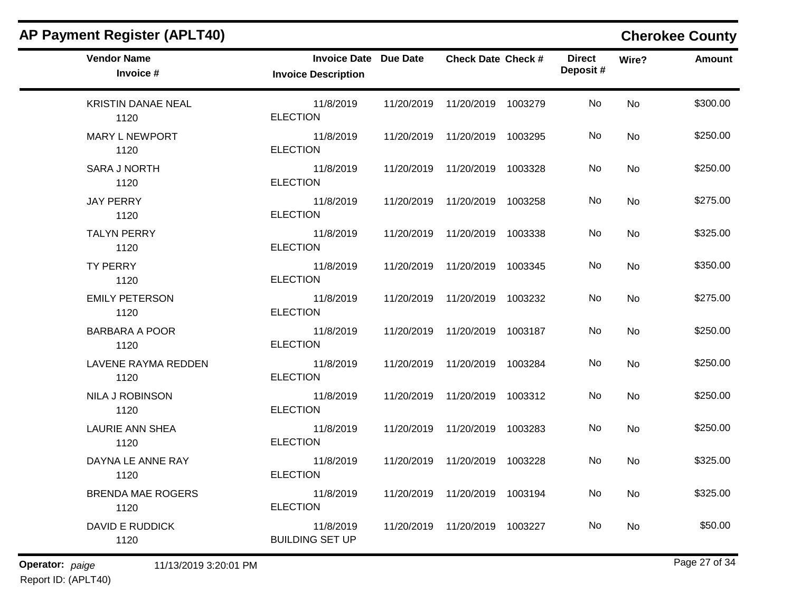| <b>AP Payment Register (APLT40)</b> |                                                            |            |                                 |         |                           |           | <b>Cherokee County</b> |
|-------------------------------------|------------------------------------------------------------|------------|---------------------------------|---------|---------------------------|-----------|------------------------|
| <b>Vendor Name</b><br>Invoice #     | <b>Invoice Date Due Date</b><br><b>Invoice Description</b> |            | <b>Check Date Check #</b>       |         | <b>Direct</b><br>Deposit# | Wire?     | <b>Amount</b>          |
| <b>KRISTIN DANAE NEAL</b><br>1120   | 11/8/2019<br><b>ELECTION</b>                               | 11/20/2019 | 11/20/2019 1003279              |         | No                        | <b>No</b> | \$300.00               |
| <b>MARY L NEWPORT</b><br>1120       | 11/8/2019<br><b>ELECTION</b>                               | 11/20/2019 | 11/20/2019 1003295              |         | No                        | <b>No</b> | \$250.00               |
| <b>SARA J NORTH</b><br>1120         | 11/8/2019<br><b>ELECTION</b>                               | 11/20/2019 | 11/20/2019 1003328              |         | No                        | No        | \$250.00               |
| <b>JAY PERRY</b><br>1120            | 11/8/2019<br><b>ELECTION</b>                               | 11/20/2019 | 11/20/2019                      | 1003258 | No                        | No        | \$275.00               |
| <b>TALYN PERRY</b><br>1120          | 11/8/2019<br><b>ELECTION</b>                               | 11/20/2019 | 11/20/2019                      | 1003338 | No                        | No        | \$325.00               |
| <b>TY PERRY</b><br>1120             | 11/8/2019<br><b>ELECTION</b>                               | 11/20/2019 | 11/20/2019 1003345              |         | No                        | No        | \$350.00               |
| <b>EMILY PETERSON</b><br>1120       | 11/8/2019<br><b>ELECTION</b>                               | 11/20/2019 | 11/20/2019 1003232              |         | No                        | No        | \$275.00               |
| <b>BARBARA A POOR</b><br>1120       | 11/8/2019<br><b>ELECTION</b>                               | 11/20/2019 | 11/20/2019 1003187              |         | No                        | <b>No</b> | \$250.00               |
| <b>LAVENE RAYMA REDDEN</b><br>1120  | 11/8/2019<br><b>ELECTION</b>                               | 11/20/2019 | 11/20/2019                      | 1003284 | No                        | No        | \$250.00               |
| NILA J ROBINSON<br>1120             | 11/8/2019<br><b>ELECTION</b>                               | 11/20/2019 | 11/20/2019                      | 1003312 | No                        | No        | \$250.00               |
| <b>LAURIE ANN SHEA</b><br>1120      | 11/8/2019<br><b>ELECTION</b>                               | 11/20/2019 | 11/20/2019 1003283              |         | No                        | No        | \$250.00               |
| DAYNA LE ANNE RAY<br>1120           | 11/8/2019<br><b>ELECTION</b>                               | 11/20/2019 | 11/20/2019                      | 1003228 | No                        | No        | \$325.00               |
| <b>BRENDA MAE ROGERS</b><br>1120    | 11/8/2019<br><b>ELECTION</b>                               |            | 11/20/2019  11/20/2019  1003194 |         | No                        | No        | \$325.00               |
| <b>DAVID E RUDDICK</b><br>1120      | 11/8/2019<br><b>BUILDING SET UP</b>                        |            | 11/20/2019  11/20/2019  1003227 |         | No                        | No        | \$50.00                |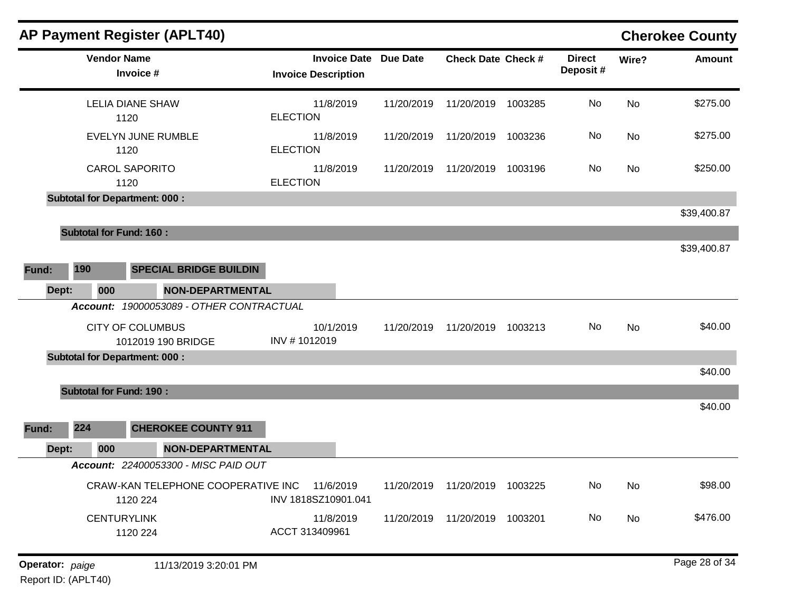|       |                                      | <b>AP Payment Register (APLT40)</b>                      |                                                   |                 |                                 |         |                           |       | <b>Cherokee County</b> |
|-------|--------------------------------------|----------------------------------------------------------|---------------------------------------------------|-----------------|---------------------------------|---------|---------------------------|-------|------------------------|
|       | <b>Vendor Name</b>                   | Invoice #                                                | <b>Invoice Date</b><br><b>Invoice Description</b> | <b>Due Date</b> | <b>Check Date Check #</b>       |         | <b>Direct</b><br>Deposit# | Wire? | <b>Amount</b>          |
|       |                                      | <b>LELIA DIANE SHAW</b><br>1120                          | 11/8/2019<br><b>ELECTION</b>                      | 11/20/2019      | 11/20/2019                      | 1003285 | No                        | No    | \$275.00               |
|       |                                      | <b>EVELYN JUNE RUMBLE</b><br>1120                        | 11/8/2019<br><b>ELECTION</b>                      | 11/20/2019      | 11/20/2019                      | 1003236 | No                        | No    | \$275.00               |
|       |                                      | <b>CAROL SAPORITO</b><br>1120                            | 11/8/2019<br><b>ELECTION</b>                      | 11/20/2019      | 11/20/2019                      | 1003196 | No                        | No    | \$250.00               |
|       | <b>Subtotal for Department: 000:</b> |                                                          |                                                   |                 |                                 |         |                           |       |                        |
|       |                                      |                                                          |                                                   |                 |                                 |         |                           |       | \$39,400.87            |
|       | <b>Subtotal for Fund: 160:</b>       |                                                          |                                                   |                 |                                 |         |                           |       |                        |
|       |                                      |                                                          |                                                   |                 |                                 |         |                           |       | \$39,400.87            |
| Fund: | 190                                  | <b>SPECIAL BRIDGE BUILDIN</b>                            |                                                   |                 |                                 |         |                           |       |                        |
|       | Dept:<br>000                         | <b>NON-DEPARTMENTAL</b>                                  |                                                   |                 |                                 |         |                           |       |                        |
|       |                                      | Account: 19000053089 - OTHER CONTRACTUAL                 |                                                   |                 |                                 |         |                           |       |                        |
|       |                                      | <b>CITY OF COLUMBUS</b><br>1012019 190 BRIDGE            | 10/1/2019<br>INV #1012019                         | 11/20/2019      | 11/20/2019                      | 1003213 | No                        | No    | \$40.00                |
|       | <b>Subtotal for Department: 000:</b> |                                                          |                                                   |                 |                                 |         |                           |       |                        |
|       |                                      |                                                          |                                                   |                 |                                 |         |                           |       | \$40.00                |
|       | <b>Subtotal for Fund: 190:</b>       |                                                          |                                                   |                 |                                 |         |                           |       |                        |
|       |                                      |                                                          |                                                   |                 |                                 |         |                           |       | \$40.00                |
| Fund: | 224                                  | <b>CHEROKEE COUNTY 911</b>                               |                                                   |                 |                                 |         |                           |       |                        |
|       | 000<br>Dept:                         | <b>NON-DEPARTMENTAL</b>                                  |                                                   |                 |                                 |         |                           |       |                        |
|       |                                      | Account: 22400053300 - MISC PAID OUT                     |                                                   |                 |                                 |         |                           |       |                        |
|       |                                      | CRAW-KAN TELEPHONE COOPERATIVE INC 11/6/2019<br>1120 224 | INV 1818SZ10901.041                               |                 | 11/20/2019  11/20/2019  1003225 |         | No                        | No    | \$98.00                |
|       | <b>CENTURYLINK</b>                   | 1120 224                                                 | 11/8/2019<br>ACCT 313409961                       |                 | 11/20/2019  11/20/2019  1003201 |         | No                        | No    | \$476.00               |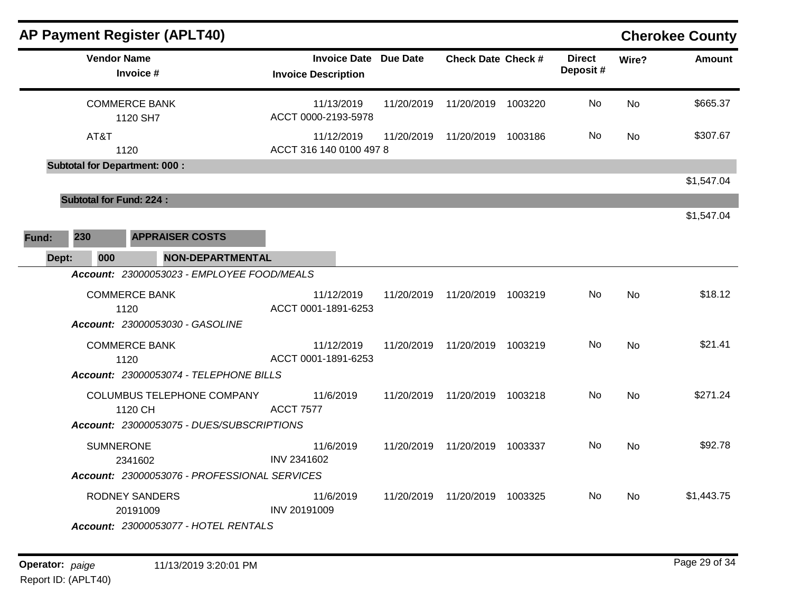|       |                                      | <b>AP Payment Register (APLT40)</b>                                   |                                                            |            |                           |         |                           |                | <b>Cherokee County</b> |
|-------|--------------------------------------|-----------------------------------------------------------------------|------------------------------------------------------------|------------|---------------------------|---------|---------------------------|----------------|------------------------|
|       | <b>Vendor Name</b>                   | Invoice #                                                             | <b>Invoice Date Due Date</b><br><b>Invoice Description</b> |            | <b>Check Date Check #</b> |         | <b>Direct</b><br>Deposit# | Wire?          | <b>Amount</b>          |
|       | <b>COMMERCE BANK</b>                 | 1120 SH7                                                              | 11/13/2019<br>ACCT 0000-2193-5978                          | 11/20/2019 | 11/20/2019                | 1003220 | No                        | <b>No</b>      | \$665.37               |
|       | AT&T<br>1120                         |                                                                       | 11/12/2019<br>ACCT 316 140 0100 497 8                      | 11/20/2019 | 11/20/2019 1003186        |         | No.                       | No.            | \$307.67               |
|       | <b>Subtotal for Department: 000:</b> |                                                                       |                                                            |            |                           |         |                           |                |                        |
|       |                                      |                                                                       |                                                            |            |                           |         |                           |                | \$1,547.04             |
|       | <b>Subtotal for Fund: 224:</b>       |                                                                       |                                                            |            |                           |         |                           |                | \$1,547.04             |
| Fund: | 230                                  | <b>APPRAISER COSTS</b>                                                |                                                            |            |                           |         |                           |                |                        |
| Dept: | 000                                  | <b>NON-DEPARTMENTAL</b><br>Account: 23000053023 - EMPLOYEE FOOD/MEALS |                                                            |            |                           |         |                           |                |                        |
|       | <b>COMMERCE BANK</b><br>1120         | <b>Account: 23000053030 - GASOLINE</b>                                | 11/12/2019<br>ACCT 0001-1891-6253                          | 11/20/2019 | 11/20/2019 1003219        |         | No                        | N <sub>o</sub> | \$18.12                |
|       | <b>COMMERCE BANK</b><br>1120         |                                                                       | 11/12/2019<br>ACCT 0001-1891-6253                          | 11/20/2019 | 11/20/2019 1003219        |         | No                        | No             | \$21.41                |
|       |                                      | Account: 23000053074 - TELEPHONE BILLS                                |                                                            |            |                           |         |                           |                |                        |
|       |                                      | COLUMBUS TELEPHONE COMPANY<br>1120 CH                                 | 11/6/2019<br><b>ACCT 7577</b>                              | 11/20/2019 | 11/20/2019 1003218        |         | <b>No</b>                 | N <sub>o</sub> | \$271.24               |
|       |                                      | Account: 23000053075 - DUES/SUBSCRIPTIONS                             |                                                            |            |                           |         |                           |                |                        |
|       | <b>SUMNERONE</b>                     | 2341602<br>Account: 23000053076 - PROFESSIONAL SERVICES               | 11/6/2019<br>INV 2341602                                   | 11/20/2019 | 11/20/2019 1003337        |         | No.                       | No             | \$92.78                |
|       |                                      | <b>RODNEY SANDERS</b><br>20191009                                     | 11/6/2019<br>INV 20191009                                  | 11/20/2019 | 11/20/2019 1003325        |         | No                        | No.            | \$1,443.75             |
|       |                                      | Account: 23000053077 - HOTEL RENTALS                                  |                                                            |            |                           |         |                           |                |                        |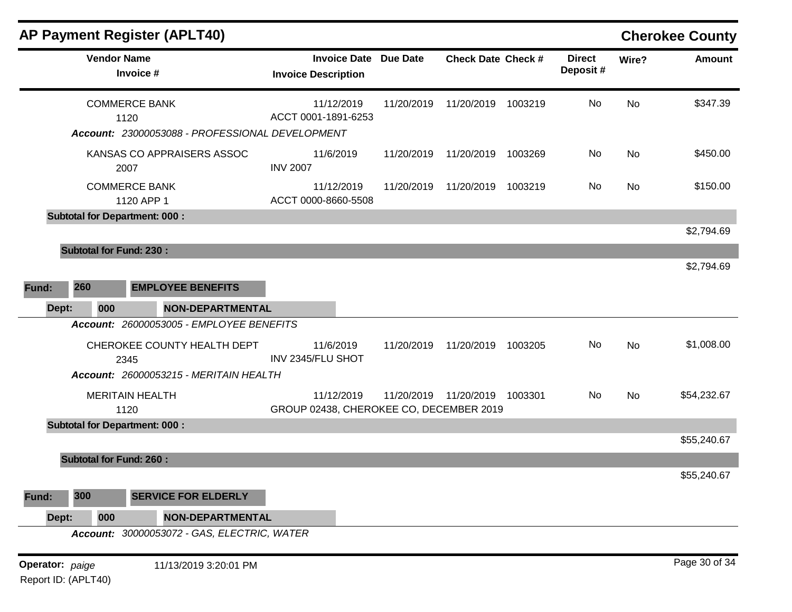|                 |                                | <b>AP Payment Register (APLT40)</b>                                             |                                                            |            |                                 |         |                           |           | <b>Cherokee County</b> |
|-----------------|--------------------------------|---------------------------------------------------------------------------------|------------------------------------------------------------|------------|---------------------------------|---------|---------------------------|-----------|------------------------|
|                 | <b>Vendor Name</b>             | Invoice #                                                                       | <b>Invoice Date Due Date</b><br><b>Invoice Description</b> |            | <b>Check Date Check #</b>       |         | <b>Direct</b><br>Deposit# | Wire?     | <b>Amount</b>          |
|                 |                                | <b>COMMERCE BANK</b><br>1120<br>Account: 23000053088 - PROFESSIONAL DEVELOPMENT | 11/12/2019<br>ACCT 0001-1891-6253                          | 11/20/2019 | 11/20/2019 1003219              |         | No                        | <b>No</b> | \$347.39               |
|                 |                                | KANSAS CO APPRAISERS ASSOC<br>2007                                              | 11/6/2019<br><b>INV 2007</b>                               | 11/20/2019 | 11/20/2019                      | 1003269 | No                        | No        | \$450.00               |
|                 |                                | <b>COMMERCE BANK</b><br>1120 APP 1                                              | 11/12/2019<br>ACCT 0000-8660-5508                          | 11/20/2019 | 11/20/2019                      | 1003219 | No.                       | No        | \$150.00               |
|                 |                                | <b>Subtotal for Department: 000:</b>                                            |                                                            |            |                                 |         |                           |           | \$2,794.69             |
|                 | <b>Subtotal for Fund: 230:</b> |                                                                                 |                                                            |            |                                 |         |                           |           |                        |
|                 |                                |                                                                                 |                                                            |            |                                 |         |                           |           | \$2,794.69             |
| Fund:           | 260                            | <b>EMPLOYEE BENEFITS</b>                                                        |                                                            |            |                                 |         |                           |           |                        |
| Dept:           | 000                            | <b>NON-DEPARTMENTAL</b>                                                         |                                                            |            |                                 |         |                           |           |                        |
|                 |                                | Account: 26000053005 - EMPLOYEE BENEFITS                                        |                                                            |            |                                 |         |                           |           |                        |
|                 |                                | CHEROKEE COUNTY HEALTH DEPT<br>2345                                             | 11/6/2019<br>INV 2345/FLU SHOT                             | 11/20/2019 | 11/20/2019 1003205              |         | No                        | No        | \$1,008.00             |
|                 |                                | Account: 26000053215 - MERITAIN HEALTH                                          |                                                            |            |                                 |         |                           |           |                        |
|                 |                                | <b>MERITAIN HEALTH</b><br>1120                                                  | 11/12/2019<br>GROUP 02438, CHEROKEE CO, DECEMBER 2019      |            | 11/20/2019  11/20/2019  1003301 |         | No                        | No        | \$54,232.67            |
|                 |                                | <b>Subtotal for Department: 000:</b>                                            |                                                            |            |                                 |         |                           |           |                        |
|                 |                                |                                                                                 |                                                            |            |                                 |         |                           |           | \$55,240.67            |
|                 | <b>Subtotal for Fund: 260:</b> |                                                                                 |                                                            |            |                                 |         |                           |           |                        |
|                 |                                |                                                                                 |                                                            |            |                                 |         |                           |           | \$55,240.67            |
| Fund:           | 300                            | <b>SERVICE FOR ELDERLY</b>                                                      |                                                            |            |                                 |         |                           |           |                        |
| Dept:           | 000                            | <b>NON-DEPARTMENTAL</b>                                                         |                                                            |            |                                 |         |                           |           |                        |
|                 |                                | Account: 30000053072 - GAS, ELECTRIC, WATER                                     |                                                            |            |                                 |         |                           |           |                        |
| Operator: paige |                                | 11/13/2019 3:20:01 PM                                                           |                                                            |            |                                 |         |                           |           | Page 30 of 34          |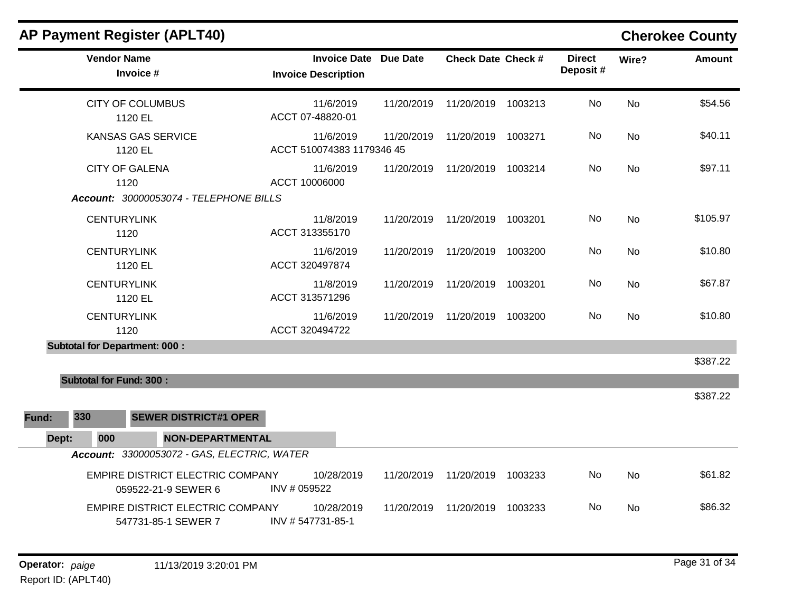| <b>AP Payment Register (APLT40)</b>                                                    |                                                            |            |                           |         |                           |           | <b>Cherokee County</b> |
|----------------------------------------------------------------------------------------|------------------------------------------------------------|------------|---------------------------|---------|---------------------------|-----------|------------------------|
| <b>Vendor Name</b><br>Invoice #                                                        | <b>Invoice Date Due Date</b><br><b>Invoice Description</b> |            | <b>Check Date Check #</b> |         | <b>Direct</b><br>Deposit# | Wire?     | <b>Amount</b>          |
| <b>CITY OF COLUMBUS</b><br>1120 EL                                                     | 11/6/2019<br>ACCT 07-48820-01                              | 11/20/2019 | 11/20/2019                | 1003213 | No                        | <b>No</b> | \$54.56                |
| <b>KANSAS GAS SERVICE</b><br>1120 EL                                                   | 11/6/2019<br>ACCT 510074383 1179346 45                     | 11/20/2019 | 11/20/2019                | 1003271 | No.                       | <b>No</b> | \$40.11                |
| <b>CITY OF GALENA</b><br>1120<br>Account: 30000053074 - TELEPHONE BILLS                | 11/6/2019<br>ACCT 10006000                                 | 11/20/2019 | 11/20/2019                | 1003214 | No.                       | <b>No</b> | \$97.11                |
| <b>CENTURYLINK</b><br>1120                                                             | 11/8/2019<br>ACCT 313355170                                | 11/20/2019 | 11/20/2019                | 1003201 | No.                       | <b>No</b> | \$105.97               |
| <b>CENTURYLINK</b><br>1120 EL                                                          | 11/6/2019<br>ACCT 320497874                                | 11/20/2019 | 11/20/2019                | 1003200 | No.                       | <b>No</b> | \$10.80                |
| <b>CENTURYLINK</b><br>1120 EL                                                          | 11/8/2019<br>ACCT 313571296                                | 11/20/2019 | 11/20/2019                | 1003201 | No                        | <b>No</b> | \$67.87                |
| <b>CENTURYLINK</b><br>1120                                                             | 11/6/2019<br>ACCT 320494722                                | 11/20/2019 | 11/20/2019                | 1003200 | No                        | <b>No</b> | \$10.80                |
| <b>Subtotal for Department: 000:</b>                                                   |                                                            |            |                           |         |                           |           | \$387.22               |
| <b>Subtotal for Fund: 300:</b>                                                         |                                                            |            |                           |         |                           |           | \$387.22               |
| 330<br><b>SEWER DISTRICT#1 OPER</b><br>Fund:                                           |                                                            |            |                           |         |                           |           |                        |
| Dept:<br>000<br><b>NON-DEPARTMENTAL</b><br>Account: 33000053072 - GAS, ELECTRIC, WATER |                                                            |            |                           |         |                           |           |                        |
| EMPIRE DISTRICT ELECTRIC COMPANY<br>059522-21-9 SEWER 6                                | 10/28/2019<br>INV # 059522                                 | 11/20/2019 | 11/20/2019                | 1003233 | No.                       | <b>No</b> | \$61.82                |
| EMPIRE DISTRICT ELECTRIC COMPANY<br>547731-85-1 SEWER 7                                | 10/28/2019<br>INV #547731-85-1                             | 11/20/2019 | 11/20/2019                | 1003233 | No.                       | No        | \$86.32                |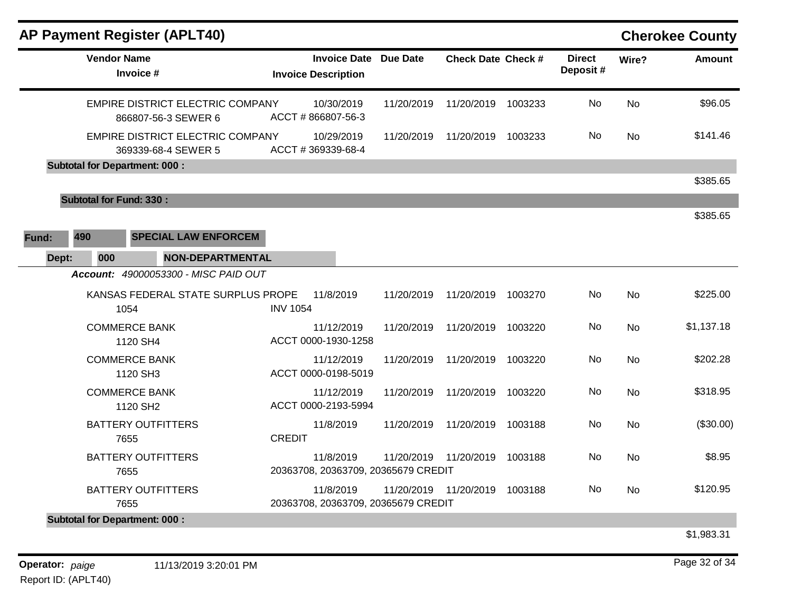| <b>Vendor Name</b><br>Invoice # |                                                         |                                                                                                                                                                                                                                                                                                                                                                         | <b>Invoice Date</b>                                                            | <b>Due Date</b>                                                                      | <b>Check Date Check #</b> |                                                                            | <b>Direct</b> | Wire?     | <b>Amount</b> |
|---------------------------------|---------------------------------------------------------|-------------------------------------------------------------------------------------------------------------------------------------------------------------------------------------------------------------------------------------------------------------------------------------------------------------------------------------------------------------------------|--------------------------------------------------------------------------------|--------------------------------------------------------------------------------------|---------------------------|----------------------------------------------------------------------------|---------------|-----------|---------------|
|                                 |                                                         |                                                                                                                                                                                                                                                                                                                                                                         | <b>Invoice Description</b>                                                     |                                                                                      |                           |                                                                            | Deposit#      |           |               |
|                                 | EMPIRE DISTRICT ELECTRIC COMPANY<br>866807-56-3 SEWER 6 |                                                                                                                                                                                                                                                                                                                                                                         | 10/30/2019<br>ACCT #866807-56-3                                                | 11/20/2019                                                                           | 11/20/2019                | 1003233                                                                    | No            | <b>No</b> | \$96.05       |
|                                 | EMPIRE DISTRICT ELECTRIC COMPANY                        |                                                                                                                                                                                                                                                                                                                                                                         | 10/29/2019<br>ACCT #369339-68-4                                                | 11/20/2019                                                                           | 11/20/2019                | 1003233                                                                    | No            | No        | \$141.46      |
|                                 |                                                         |                                                                                                                                                                                                                                                                                                                                                                         |                                                                                |                                                                                      |                           |                                                                            |               |           |               |
|                                 |                                                         |                                                                                                                                                                                                                                                                                                                                                                         |                                                                                |                                                                                      |                           |                                                                            |               |           | \$385.65      |
|                                 |                                                         |                                                                                                                                                                                                                                                                                                                                                                         |                                                                                |                                                                                      |                           |                                                                            |               |           |               |
|                                 |                                                         |                                                                                                                                                                                                                                                                                                                                                                         |                                                                                |                                                                                      |                           |                                                                            |               |           | \$385.65      |
|                                 |                                                         |                                                                                                                                                                                                                                                                                                                                                                         |                                                                                |                                                                                      |                           |                                                                            |               |           |               |
|                                 |                                                         |                                                                                                                                                                                                                                                                                                                                                                         |                                                                                |                                                                                      |                           |                                                                            |               |           |               |
|                                 |                                                         |                                                                                                                                                                                                                                                                                                                                                                         |                                                                                |                                                                                      |                           |                                                                            |               |           |               |
| 1054                            |                                                         |                                                                                                                                                                                                                                                                                                                                                                         | 11/8/2019                                                                      | 11/20/2019                                                                           | 11/20/2019                | 1003270                                                                    | No            | <b>No</b> | \$225.00      |
|                                 |                                                         |                                                                                                                                                                                                                                                                                                                                                                         | 11/12/2019                                                                     | 11/20/2019                                                                           | 11/20/2019                | 1003220                                                                    | No            | <b>No</b> | \$1,137.18    |
|                                 |                                                         |                                                                                                                                                                                                                                                                                                                                                                         | 11/12/2019                                                                     | 11/20/2019                                                                           | 11/20/2019                | 1003220                                                                    | No            | No        | \$202.28      |
|                                 |                                                         |                                                                                                                                                                                                                                                                                                                                                                         | 11/12/2019                                                                     | 11/20/2019                                                                           | 11/20/2019                | 1003220                                                                    | No            | <b>No</b> | \$318.95      |
| 7655                            |                                                         |                                                                                                                                                                                                                                                                                                                                                                         | 11/8/2019                                                                      | 11/20/2019                                                                           | 11/20/2019                | 1003188                                                                    | No            | <b>No</b> | (\$30.00)     |
| 7655                            |                                                         |                                                                                                                                                                                                                                                                                                                                                                         | 11/8/2019                                                                      | 11/20/2019                                                                           | 11/20/2019                | 1003188                                                                    | No            | <b>No</b> | \$8.95        |
| 7655                            |                                                         |                                                                                                                                                                                                                                                                                                                                                                         | 11/8/2019                                                                      | 11/20/2019                                                                           | 11/20/2019                | 1003188                                                                    | No            | <b>No</b> | \$120.95      |
|                                 | 000                                                     | 369339-68-4 SEWER 5<br><b>Subtotal for Department: 000:</b><br><b>Subtotal for Fund: 330:</b><br><b>SPECIAL LAW ENFORCEM</b><br>Account: 49000053300 - MISC PAID OUT<br><b>COMMERCE BANK</b><br>1120 SH4<br><b>COMMERCE BANK</b><br>1120 SH3<br><b>COMMERCE BANK</b><br>1120 SH2<br><b>BATTERY OUTFITTERS</b><br><b>BATTERY OUTFITTERS</b><br><b>BATTERY OUTFITTERS</b> | <b>NON-DEPARTMENTAL</b><br>KANSAS FEDERAL STATE SURPLUS PROPE<br><b>CREDIT</b> | <b>INV 1054</b><br>ACCT 0000-1930-1258<br>ACCT 0000-0198-5019<br>ACCT 0000-2193-5994 |                           | 20363708, 20363709, 20365679 CREDIT<br>20363708, 20363709, 20365679 CREDIT |               |           |               |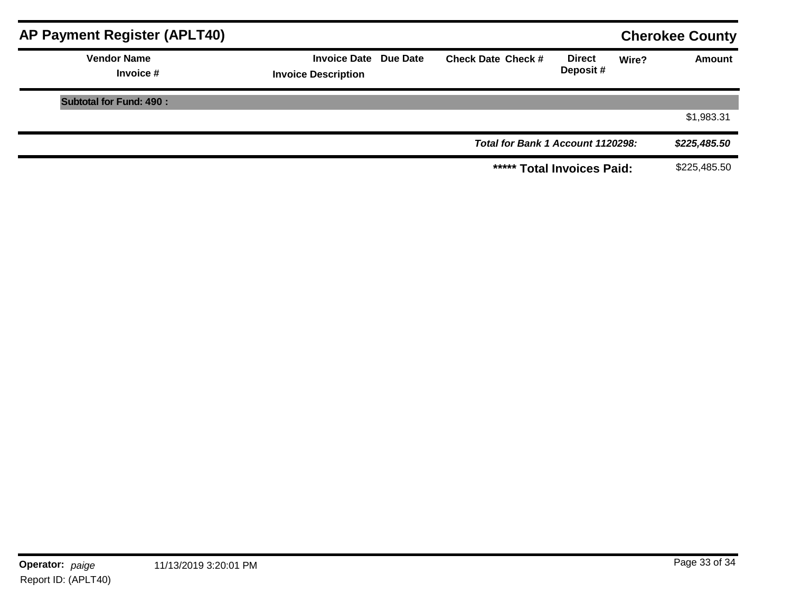| <b>AP Payment Register (APLT40)</b> |                                                            |                                   |                           |       | <b>Cherokee County</b> |
|-------------------------------------|------------------------------------------------------------|-----------------------------------|---------------------------|-------|------------------------|
| <b>Vendor Name</b><br>Invoice #     | <b>Invoice Date Due Date</b><br><b>Invoice Description</b> | <b>Check Date Check #</b>         | <b>Direct</b><br>Deposit# | Wire? | <b>Amount</b>          |
| <b>Subtotal for Fund: 490:</b>      |                                                            |                                   |                           |       |                        |
|                                     |                                                            |                                   |                           |       | \$1,983.31             |
|                                     |                                                            | Total for Bank 1 Account 1120298: |                           |       | \$225,485.50           |
|                                     |                                                            | ***** Total Invoices Paid:        |                           |       | \$225,485.50           |